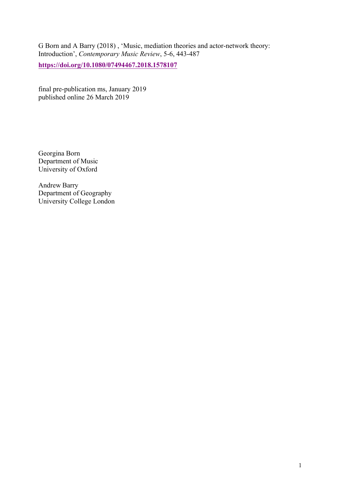G Born and A Barry (2018) , 'Music, mediation theories and actor-network theory: Introduction', *Contemporary Music Review*, 5-6, 443-487

**https://doi.org/10.1080/07494467.2018.1578107**

final pre-publication ms, January 2019 published online 26 March 2019

Georgina Born Department of Music University of Oxford

Andrew Barry Department of Geography University College London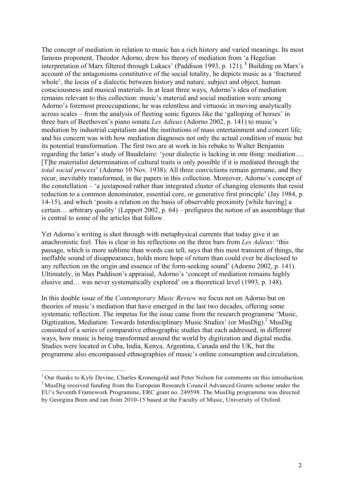The concept of mediation in relation to music has a rich history and varied meanings. Its most famous proponent, Theodor Adorno, drew his theory of mediation from 'a Hegelian interpretation of Marx filtered through Lukacs' (Paddison 1993, p. 121). **<sup>1</sup>** Building on Marx's account of the antagonisms constitutive of the social totality, he depicts music as a 'fractured whole', the locus of a dialectic between history and nature, subject and object, human consciousness and musical materials. In at least three ways, Adorno's idea of mediation remains relevant to this collection: music's material and social mediation were among Adorno's foremost preoccupations; he was relentless and virtuosic in moving analytically across scales – from the analysis of fleeting sonic figures like the 'galloping of horses' in three bars of Beethoven's piano sonata *Les Adieux* (Adorno 2002, p. 141) to music's mediation by industrial capitalism and the institutions of mass entertainment and concert life; and his concern was with how mediation diagnoses not only the actual condition of music but its potential transformation. The first two are at work in his rebuke to Walter Benjamin regarding the latter's study of Baudelaire: 'your dialectic is lacking in one thing: mediation…. [T]he materialist determination of cultural traits is only possible if it is mediated through the *total social process*' (Adorno 10 Nov. 1938). All three convictions remain germane, and they recur, inevitably transformed, in the papers in this collection. Moreover, Adorno's concept of the constellation – 'a juxtaposed rather than integrated cluster of changing elements that resist reduction to a common denominator, essential core, or generative first principle' (Jay 1984, p. 14-15), and which 'posits a relation on the basis of observable proximity [while having] a certain… arbitrary quality' (Leppert 2002, p. 64) – prefigures the notion of an assemblage that is central to some of the articles that follow.

Yet Adorno's writing is shot through with metaphysical currents that today give it an anachronistic feel. This is clear in his reflections on the three bars from *Les Adieux*: 'this passage, which is more sublime than words can tell, says that this most transient of things, the ineffable sound of disappearance, holds more hope of return than could ever be disclosed to any reflection on the origin and essence of the form-seeking sound' (Adorno 2002, p. 141). Ultimately, in Max Paddison's appraisal, Adorno's 'concept of mediation remains highly elusive and… was never systematically explored' on a theoretical level (1993, p. 148).

In this double issue of the *Contemporary Music Review* we focus not on Adorno but on theories of music's mediation that have emerged in the last two decades, offering some systematic reflection. The impetus for the issue came from the research programme 'Music, Digitization, Mediation: Towards Interdisciplinary Music Studies' (or MusDig).<sup>2</sup> MusDig consisted of a series of comparative ethnographic studies that each addressed, in different ways, how music is being transformed around the world by digitization and digital media. Studies were located in Cuba, India, Kenya, Argentina, Canada and the UK, but the programme also encompassed ethnographies of music's online consumption and circulation,

<sup>&</sup>lt;sup>1</sup> Our thanks to Kyle Devine, Charles Kronengold and Peter Nelson for comments on this introduction. <sup>2</sup> MusDig received funding from the European Research Council Advanced Grants scheme under the EU's Seventh Framework Programme, ERC grant no. 249598. The MusDig programme was directed by Georgina Born and ran from 2010-15 based at the Faculty of Music, University of Oxford.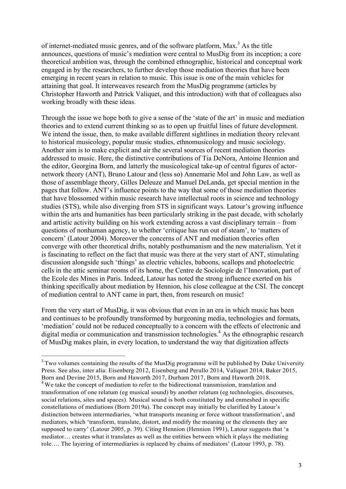of internet-mediated music genres, and of the software platform,  $Max<sup>3</sup>$  As the title announces, questions of music's mediation were central to MusDig from its inception; a core theoretical ambition was, through the combined ethnographic, historical and conceptual work engaged in by the researchers, to further develop those mediation theories that have been emerging in recent years in relation to music. This issue is one of the main vehicles for attaining that goal. It interweaves research from the MusDig programme (articles by Christopher Haworth and Patrick Valiquet, and this introduction) with that of colleagues also working broadly with these ideas.

Through the issue we hope both to give a sense of the 'state of the art' in music and mediation theories and to extend current thinking so as to open up fruitful lines of future development. We intend the issue, then, to make available different sightlines in mediation theory relevant to historical musicology, popular music studies, ethnomusicology and music sociology. Another aim is to make explicit and air the several sources of recent mediation theories addressed to music. Here, the distinctive contributions of Tia DeNora, Antoine Hennion and the editor, Georgina Born, and latterly the musicological take-up of central figures of actornetwork theory (ANT), Bruno Latour and (less so) Annemarie Mol and John Law, as well as those of assemblage theory, Gilles Deleuze and Manuel DeLanda, get special mention in the pages that follow. ANT's influence points to the way that some of those mediation theories that have blossomed within music research have intellectual roots in science and technology studies (STS), while also diverging from STS in significant ways. Latour's growing influence within the arts and humanities has been particularly striking in the past decade, with scholarly and artistic activity building on his work extending across a vast disciplinary terrain – from questions of nonhuman agency, to whether 'critique has run out of steam', to 'matters of concern' (Latour 2004). Moreover the concerns of ANT and mediation theories often converge with other theoretical drifts, notably posthumanism and the new materialism. Yet it is fascinating to reflect on the fact that music was there at the very start of ANT, stimulating discussion alongside such 'things' as electric vehicles, baboons, scallops and photoelectric cells in the attic seminar rooms of its home, the Centre de Sociologie de l'Innovation, part of the Ecole des Mines in Paris. Indeed, Latour has noted the strong influence exerted on his thinking specifically about mediation by Hennion, his close colleague at the CSI. The concept of mediation central to ANT came in part, then, from research on music!

From the very start of MusDig, it was obvious that even in an era in which music has been and continues to be profoundly transformed by burgeoning media, technologies and formats, 'mediation' could not be reduced conceptually to a concern with the effects of electronic and digital media or communication and transmission technologies.<sup>4</sup> As the ethnographic research of MusDig makes plain, in every location, to understand the way that digitization affects

 $3$  Two volumes containing the results of the MusDig programme will be published by Duke University Press. See also, inter alia: Eisenberg 2012, Eisenberg and Perullo 2014, Valiquet 2014, Baker 2015, Born and Devine 2015, Born and Haworth 2017, Durham 2017, Born and Haworth 2018. <sup>4</sup> We take the concept of mediation to refer to the bidirectional transmission, translation and transformation of one relatum (eg musical sound) by another relatum (eg technologies, discourses, social relations, sites and spaces). Musical sound is both constituted by and enmeshed in specific constellations of mediations (Born 2019a). The concept may initially be clarified by Latour's distinction between intermediaries, 'what transports meaning or force without transformation', and mediators, which 'transform, translate, distort, and modify the meaning or the elements they are supposed to carry' (Latour 2005, p. 39). Citing Hennion (Hennion 1991), Latour suggests that 'a mediator… creates what it translates as well as the entities between which it plays the mediating role…. The layering of intermediaries is replaced by chains of mediators' (Latour 1993, p. 78).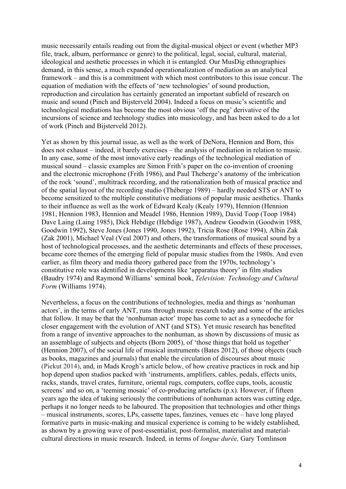music necessarily entails reading out from the digital-musical object or event (whether MP3 file, track, album, performance or genre) to the political, legal, social, cultural, material, ideological and aesthetic processes in which it is entangled. Our MusDig ethnographies demand, in this sense, a much expanded operationalization of mediation as an analytical framework – and this is a commitment with which most contributors to this issue concur. The equation of mediation with the effects of 'new technologies' of sound production, reproduction and circulation has certainly generated an important subfield of research on music and sound (Pinch and Bijsterveld 2004). Indeed a focus on music's scientific and technological mediations has become the most obvious 'off the peg' derivative of the incursions of science and technology studies into musicology, and has been asked to do a lot of work (Pinch and Bijsterveld 2012).

Yet as shown by this journal issue, as well as the work of DeNora, Hennion and Born, this does not exhaust – indeed, it barely exercises – the analysis of mediation in relation to music. In any case, some of the most innovative early readings of the technological mediation of musical sound – classic examples are Simon Frith's paper on the co-invention of crooning and the electronic microphone (Frith 1986), and Paul Theberge's anatomy of the imbrication of the rock 'sound', multitrack recording, and the rationalization both of musical practice and of the spatial layout of the recording studio (Théberge 1989) – hardly needed STS or ANT to become sensitized to the multiple constitutive mediations of popular music aesthetics. Thanks to their influence as well as the work of Edward Kealy (Kealy 1979), Hennion (Hennion 1981, Hennion 1983, Hennion and Meadel 1986, Hennion 1989), David Toop (Toop 1984) Dave Laing (Laing 1985), Dick Hebdige (Hebdige 1987), Andrew Goodwin (Goodwin 1988, Goodwin 1992), Steve Jones (Jones 1990, Jones 1992), Tricia Rose (Rose 1994), Albin Zak (Zak 2001), Michael Veal (Veal 2007) and others, the transformations of musical sound by a host of technological processes, and the aesthetic determinants and effects of these processes, became core themes of the emerging field of popular music studies from the 1980s. And even earlier, as film theory and media theory gathered pace from the 1970s, technology's constitutive role was identified in developments like 'apparatus theory' in film studies (Baudry 1974) and Raymond Williams' seminal book, *Television: Technology and Cultural Form* (Williams 1974).

Nevertheless, a focus on the contributions of technologies, media and things as 'nonhuman actors', in the terms of early ANT, runs through music research today and some of the articles that follow. It may be that the 'nonhuman actor' trope has come to act as a synecdoche for closer engagement with the evolution of ANT (and STS). Yet music research has benefited from a range of inventive approaches to the nonhuman, as shown by discussions of music as an assemblage of subjects and objects (Born 2005), of 'those things that hold us together' (Hennion 2007), of the social life of musical instruments (Bates 2012), of those objects (such as books, magazines and journals) that enable the circulation of discourses about music (Piekut 2014), and, in Mads Krogh's article below, of how creative practices in rock and hip hop depend upon studios packed with 'instruments, amplifiers, cables, pedals, effects units, racks, stands, travel crates, furniture, oriental rugs, computers, coffee cups, tools, acoustic screens' and so on, a 'teeming mosaic' of co-producing artefacts (p.x). However, if fifteen years ago the idea of taking seriously the contributions of nonhuman actors was cutting edge, perhaps it no longer needs to be laboured. The proposition that technologies and other things – musical instruments, scores, LPs, cassette tapes, fanzines, venues etc – have long played formative parts in music-making and musical experience is coming to be widely established, as shown by a growing wave of post-essentialist, post-formalist, materialist and materialcultural directions in music research. Indeed, in terms of *longue durée,* Gary Tomlinson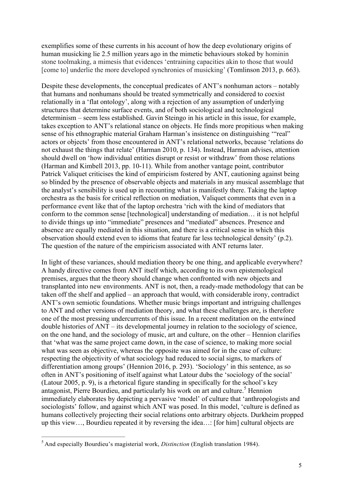exemplifies some of these currents in his account of how the deep evolutionary origins of human musicking lie 2.5 million years ago in the mimetic behaviours stoked by hominin stone toolmaking, a mimesis that evidences 'entraining capacities akin to those that would [come to] underlie the more developed synchronies of musicking' (Tomlinson 2013, p. 663).

Despite these developments, the conceptual predicates of ANT's nonhuman actors – notably that humans and nonhumans should be treated symmetrically and considered to coexist relationally in a 'flat ontology', along with a rejection of any assumption of underlying structures that determine surface events, and of both sociological and technological determinism – seem less established. Gavin Steingo in his article in this issue, for example, takes exception to ANT's relational stance on objects. He finds more propitious when making sense of his ethnographic material Graham Harman's insistence on distinguishing "real" actors or objects' from those encountered in ANT's relational networks, because 'relations do not exhaust the things that relate' (Harman 2010, p. 134). Instead, Harman advises, attention should dwell on 'how individual entities disrupt or resist or withdraw' from those relations (Harman and Kimbell 2013, pp. 10-11). While from another vantage point, contributor Patrick Valiquet criticises the kind of empiricism fostered by ANT, cautioning against being so blinded by the presence of observable objects and materials in any musical assemblage that the analyst's sensibility is used up in recounting what is manifestly there. Taking the laptop orchestra as the basis for critical reflection on mediation, Valiquet comments that even in a performance event like that of the laptop orchestra 'rich with the kind of mediators that conform to the common sense [technological] understanding of mediation… it is not helpful to divide things up into "immediate" presences and "mediated" absences. Presence and absence are equally mediated in this situation, and there is a critical sense in which this observation should extend even to idioms that feature far less technological density' (p.2). The question of the nature of the empiricism associated with ANT returns later.

In light of these variances, should mediation theory be one thing, and applicable everywhere? A handy directive comes from ANT itself which, according to its own epistemological premises, argues that the theory should change when confronted with new objects and transplanted into new environments. ANT is not, then, a ready-made methodology that can be taken off the shelf and applied – an approach that would, with considerable irony, contradict ANT's own semiotic foundations. Whether music brings important and intriguing challenges to ANT and other versions of mediation theory, and what these challenges are, is therefore one of the most pressing undercurrents of this issue. In a recent meditation on the entwined double histories of ANT – its developmental journey in relation to the sociology of science, on the one hand, and the sociology of music, art and culture, on the other – Hennion clarifies that 'what was the same project came down, in the case of science, to making more social what was seen as objective, whereas the opposite was aimed for in the case of culture: respecting the objectivity of what sociology had reduced to social signs, to markers of differentiation among groups' (Hennion 2016, p. 293). 'Sociology' in this sentence, as so often in ANT's positioning of itself against what Latour dubs the 'sociology of the social' (Latour 2005, p. 9), is a rhetorical figure standing in specifically for the school's key antagonist, Pierre Bourdieu, and particularly his work on art and culture.<sup>5</sup> Hennion immediately elaborates by depicting a pervasive 'model' of culture that 'anthropologists and sociologists' follow, and against which ANT was posed. In this model, 'culture is defined as humans collectively projecting their social relations onto arbitrary objects. Durkheim propped up this view…, Bourdieu repeated it by reversing the idea…: [for him] cultural objects are

<sup>5</sup> And especially Bourdieu's magisterial work, *Distinction* (English translation 1984).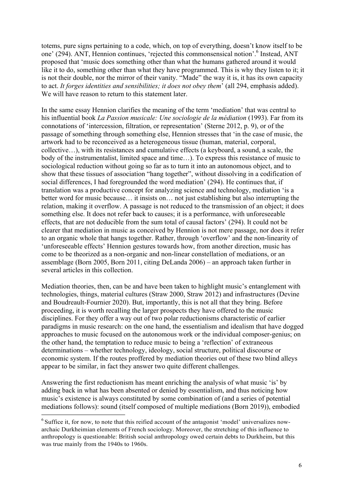totems, pure signs pertaining to a code, which, on top of everything, doesn't know itself to be one' (294). ANT, Hennion continues, 'rejected this commonsensical notion'.<sup>6</sup> Instead, ANT proposed that 'music does something other than what the humans gathered around it would like it to do, something other than what they have programmed. This is why they listen to it; it is not their double, nor the mirror of their vanity. "Made" the way it is, it has its own capacity to act. *It forges identities and sensibilities; it does not obey them*' (all 294, emphasis added). We will have reason to return to this statement later.

In the same essay Hennion clarifies the meaning of the term 'mediation' that was central to his influential book *La Passion musicale: Une sociologie de la médiation* (1993). Far from its connotations of 'intercession, filtration, or representation' (Sterne 2012, p. 9), or of the passage of something through something else, Hennion stresses that 'in the case of music, the artwork had to be reconceived as a heterogeneous tissue (human, material, corporal, collective…), with its resistances and cumulative effects (a keyboard, a sound, a scale, the body of the instrumentalist, limited space and time...). To express this resistance of music to sociological reduction without going so far as to turn it into an autonomous object, and to show that these tissues of association "hang together", without dissolving in a codification of social differences, I had foregrounded the word mediation' (294). He continues that, if translation was a productive concept for analyzing science and technology, mediation 'is a better word for music because… it insists on… not just establishing but also interrupting the relation, making it overflow. A passage is not reduced to the transmission of an object; it does something else. It does not refer back to causes; it is a performance, with unforeseeable effects, that are not deducible from the sum total of causal factors' (294). It could not be clearer that mediation in music as conceived by Hennion is not mere passage, nor does it refer to an organic whole that hangs together. Rather, through 'overflow' and the non-linearity of 'unforeseeable effects' Hennion gestures towards how, from another direction, music has come to be theorized as a non-organic and non-linear constellation of mediations, or an assemblage (Born 2005, Born 2011, citing DeLanda 2006) – an approach taken further in several articles in this collection.

Mediation theories, then, can be and have been taken to highlight music's entanglement with technologies, things, material cultures (Straw 2000, Straw 2012) and infrastructures (Devine and Boudreault-Fournier 2020). But, importantly, this is not all that they bring. Before proceeding, it is worth recalling the larger prospects they have offered to the music disciplines. For they offer a way out of two polar reductionisms characteristic of earlier paradigms in music research: on the one hand, the essentialism and idealism that have dogged approaches to music focused on the autonomous work or the individual composer-genius; on the other hand, the temptation to reduce music to being a 'reflection' of extraneous determinations – whether technology, ideology, social structure, political discourse or economic system. If the routes proffered by mediation theories out of these two blind alleys appear to be similar, in fact they answer two quite different challenges.

Answering the first reductionism has meant enriching the analysis of what music 'is' by adding back in what has been absented or denied by essentialism, and thus noticing how music's existence is always constituted by some combination of (and a series of potential mediations follows): sound (itself composed of multiple mediations (Born 2019)), embodied

<sup>&</sup>lt;sup>6</sup> Suffice it, for now, to note that this reified account of the antagonist 'model' universalizes nowarchaic Durkheimian elements of French sociology. Moreover, the stretching of this influence to anthropology is questionable: British social anthropology owed certain debts to Durkheim, but this was true mainly from the 1940s to 1960s.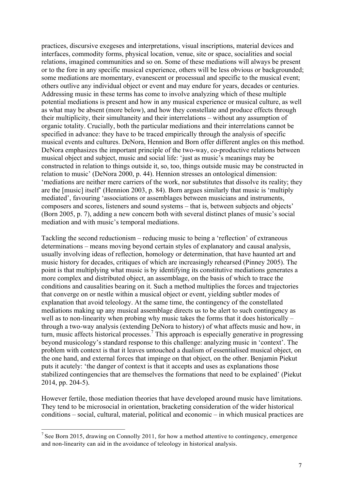practices, discursive exegeses and interpretations, visual inscriptions, material devices and interfaces, commodity forms, physical location, venue, site or space, socialities and social relations, imagined communities and so on. Some of these mediations will always be present or to the fore in any specific musical experience, others will be less obvious or backgrounded; some mediations are momentary, evanescent or processual and specific to the musical event; others outlive any individual object or event and may endure for years, decades or centuries. Addressing music in these terms has come to involve analyzing which of these multiple potential mediations is present and how in any musical experience or musical culture, as well as what may be absent (more below), and how they constellate and produce effects through their multiplicity, their simultaneity and their interrelations – without any assumption of organic totality. Crucially, both the particular mediations and their interrelations cannot be specified in advance: they have to be traced empirically through the analysis of specific musical events and cultures. DeNora, Hennion and Born offer different angles on this method. DeNora emphasizes the important principle of the two-way, co-productive relations between musical object and subject, music and social life: 'just as music's meanings may be constructed in relation to things outside it, so, too, things outside music may be constructed in relation to music' (DeNora 2000, p. 44). Hennion stresses an ontological dimension: 'mediations are neither mere carriers of the work, nor substitutes that dissolve its reality; they are the [music] itself' (Hennion 2003, p. 84). Born argues similarly that music is 'multiply mediated', favouring 'associations or assemblages between musicians and instruments, composers and scores, listeners and sound systems – that is, between subjects and objects' (Born 2005, p. 7), adding a new concern both with several distinct planes of music's social mediation and with music's temporal mediations.

Tackling the second reductionism – reducing music to being a 'reflection' of extraneous determinations – means moving beyond certain styles of explanatory and causal analysis, usually involving ideas of reflection, homology or determination, that have haunted art and music history for decades, critiques of which are increasingly rehearsed (Pinney 2005). The point is that multiplying what music is by identifying its constitutive mediations generates a more complex and distributed object, an assemblage, on the basis of which to trace the conditions and causalities bearing on it. Such a method multiplies the forces and trajectories that converge on or nestle within a musical object or event, yielding subtler modes of explanation that avoid teleology. At the same time, the contingency of the constellated mediations making up any musical assemblage directs us to be alert to such contingency as well as to non-linearity when probing why music takes the forms that it does historically – through a two-way analysis (extending DeNora to history) of what affects music and how, in turn, music affects historical processes.<sup>7</sup> This approach is especially generative in progressing beyond musicology's standard response to this challenge: analyzing music in 'context'. The problem with context is that it leaves untouched a dualism of essentialised musical object, on the one hand, and external forces that impinge on that object, on the other. Benjamin Piekut puts it acutely: 'the danger of context is that it accepts and uses as explanations those stabilized contingencies that are themselves the formations that need to be explained' (Piekut 2014, pp. 204-5).

However fertile, those mediation theories that have developed around music have limitations. They tend to be microsocial in orientation, bracketing consideration of the wider historical conditions – social, cultural, material, political and economic – in which musical practices are

<sup>&</sup>lt;sup>7</sup> See Born 2015, drawing on Connolly 2011, for how a method attentive to contingency, emergence and non-linearity can aid in the avoidance of teleology in historical analysis.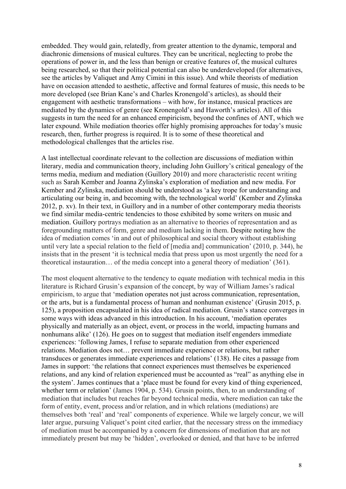embedded. They would gain, relatedly, from greater attention to the dynamic, temporal and diachronic dimensions of musical cultures. They can be uncritical, neglecting to probe the operations of power in, and the less than benign or creative features of, the musical cultures being researched, so that their political potential can also be underdeveloped (for alternatives, see the articles by Valiquet and Amy Cimini in this issue). And while theorists of mediation have on occasion attended to aesthetic, affective and formal features of music, this needs to be more developed (see Brian Kane's and Charles Kronengold's articles), as should their engagement with aesthetic transformations – with how, for instance, musical practices are mediated by the dynamics of genre (see Kronengold's and Haworth's articles). All of this suggests in turn the need for an enhanced empiricism, beyond the confines of ANT, which we later expound. While mediation theories offer highly promising approaches for today's music research, then, further progress is required. It is to some of these theoretical and methodological challenges that the articles rise.

A last intellectual coordinate relevant to the collection are discussions of mediation within literary, media and communication theory, including John Guillory's critical genealogy of the terms media, medium and mediation (Guillory 2010) and more characteristic recent writing such as Sarah Kember and Joanna Zylinska's exploration of mediation and new media. For Kember and Zylinska, mediation should be understood as 'a key trope for understanding and articulating our being in, and becoming with, the technological world' (Kember and Zylinska 2012, p. xv). In their text, in Guillory and in a number of other contemporary media theorists we find similar media-centric tendencies to those exhibited by some writers on music and mediation. Guillory portrays mediation as an alternative to theories of representation and as foregrounding matters of form, genre and medium lacking in them. Despite noting how the idea of mediation comes 'in and out of philosophical and social theory without establishing until very late a special relation to the field of [media and] communication' (2010, p. 344), he insists that in the present 'it is technical media that press upon us most urgently the need for a theoretical instauration… of the media concept into a general theory of mediation' (361).

The most eloquent alternative to the tendency to equate mediation with technical media in this literature is Richard Grusin's expansion of the concept, by way of William James's radical empiricism, to argue that 'mediation operates not just across communication, representation, or the arts, but is a fundamental process of human and nonhuman existence' (Grusin 2015, p. 125), a proposition encapsulated in his idea of radical mediation. Grusin's stance converges in some ways with ideas advanced in this introduction. In his account, 'mediation operates physically and materially as an object, event, or process in the world, impacting humans and nonhumans alike' (126). He goes on to suggest that mediation itself engenders immediate experiences: 'following James, I refuse to separate mediation from other experienced relations. Mediation does not… prevent immediate experience or relations, but rather transduces or generates immediate experiences and relations' (138). He cites a passage from James in support: 'the relations that connect experiences must themselves be experienced relations, and any kind of relation experienced must be accounted as "real" as anything else in the system'. James continues that a 'place must be found for every kind of thing experienced, whether term or relation' (James 1904, p. 534). Grusin points, then, to an understanding of mediation that includes but reaches far beyond technical media, where mediation can take the form of entity, event, process and/or relation, and in which relations (mediations) are themselves both 'real' and 'real' components of experience. While we largely concur, we will later argue, pursuing Valiquet's point cited earlier, that the necessary stress on the immediacy of mediation must be accompanied by a concern for dimensions of mediation that are not immediately present but may be 'hidden', overlooked or denied, and that have to be inferred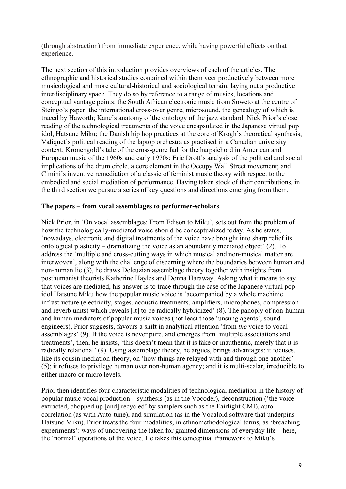(through abstraction) from immediate experience, while having powerful effects on that experience.

The next section of this introduction provides overviews of each of the articles. The ethnographic and historical studies contained within them veer productively between more musicological and more cultural-historical and sociological terrain, laying out a productive interdisciplinary space. They do so by reference to a range of musics, locations and conceptual vantage points: the South African electronic music from Soweto at the centre of Steingo's paper; the international cross-over genre, microsound, the genealogy of which is traced by Haworth; Kane's anatomy of the ontology of the jazz standard; Nick Prior's close reading of the technological treatments of the voice encapsulated in the Japanese virtual pop idol, Hatsune Miku; the Danish hip hop practices at the core of Krogh's theoretical synthesis; Valiquet's political reading of the laptop orchestra as practised in a Canadian university context; Kronengold's tale of the cross-genre fad for the harpsichord in American and European music of the 1960s and early 1970s; Eric Drott's analysis of the political and social implications of the drum circle, a core element in the Occupy Wall Street movement; and Cimini's inventive remediation of a classic of feminist music theory with respect to the embodied and social mediation of performance. Having taken stock of their contributions, in the third section we pursue a series of key questions and directions emerging from them.

## **The papers – from vocal assemblages to performer-scholars**

Nick Prior, in 'On vocal assemblages: From Edison to Miku', sets out from the problem of how the technologically-mediated voice should be conceptualized today. As he states, 'nowadays, electronic and digital treatments of the voice have brought into sharp relief its ontological plasticity – dramatizing the voice as an abundantly mediated object'  $(2)$ . To address the 'multiple and cross-cutting ways in which musical and non-musical matter are interwoven', along with the challenge of discerning where the boundaries between human and non-human lie (3), he draws Deleuzian assemblage theory together with insights from posthumanist theorists Katherine Hayles and Donna Haraway. Asking what it means to say that voices are mediated, his answer is to trace through the case of the Japanese virtual pop idol Hatsune Miku how the popular music voice is 'accompanied by a whole machinic infrastructure (electricity, stages, acoustic treatments, amplifiers, microphones, compression and reverb units) which reveals [it] to be radically hybridized' (8). The panoply of non-human and human mediators of popular music voices (not least those 'unsung agents', sound engineers), Prior suggests, favours a shift in analytical attention 'from *the* voice to vocal assemblages' (9). If the voice is never pure, and emerges from 'multiple associations and treatments', then, he insists, 'this doesn't mean that it is fake or inauthentic, merely that it is radically relational' (9). Using assemblage theory, he argues, brings advantages: it focuses, like its cousin mediation theory, on 'how things are relayed with and through one another' (5); it refuses to privilege human over non-human agency; and it is multi-scalar, irreducible to either macro or micro levels.

Prior then identifies four characteristic modalities of technological mediation in the history of popular music vocal production – synthesis (as in the Vocoder), deconstruction ('the voice extracted, chopped up [and] recycled' by samplers such as the Fairlight CMI), autocorrelation (as with Auto-tune), and simulation (as in the Vocaloid software that underpins Hatsune Miku). Prior treats the four modalities, in ethnomethodological terms, as 'breaching experiments': ways of uncovering the taken for granted dimensions of everyday life – here, the 'normal' operations of the voice. He takes this conceptual framework to Miku's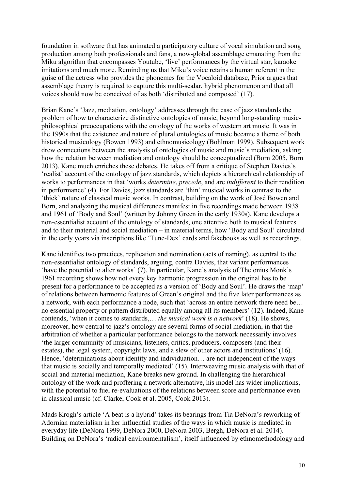foundation in software that has animated a participatory culture of vocal simulation and song production among both professionals and fans, a now-global assemblage emanating from the Miku algorithm that encompasses Youtube, 'live' performances by the virtual star, karaoke imitations and much more. Reminding us that Miku's voice retains a human referent in the guise of the actress who provides the phonemes for the Vocaloid database, Prior argues that assemblage theory is required to capture this multi-scalar, hybrid phenomenon and that all voices should now be conceived of as both 'distributed and composed' (17).

Brian Kane's 'Jazz, mediation, ontology' addresses through the case of jazz standards the problem of how to characterize distinctive ontologies of music, beyond long-standing musicphilosophical preoccupations with the ontology of the works of western art music. It was in the 1990s that the existence and nature of plural ontologies of music became a theme of both historical musicology (Bowen 1993) and ethnomusicology (Bohlman 1999). Subsequent work drew connections between the analysis of ontologies of music and music's mediation, asking how the relation between mediation and ontology should be conceptualized (Born 2005, Born 2013). Kane much enriches these debates. He takes off from a critique of Stephen Davies's 'realist' account of the ontology of jazz standards, which depicts a hierarchical relationship of works to performances in that 'works *determine*, *precede*, and are *indifferent* to their rendition in performance' (4). For Davies, jazz standards are 'thin' musical works in contrast to the 'thick' nature of classical music works. In contrast, building on the work of José Bowen and Born, and analyzing the musical differences manifest in five recordings made between 1938 and 1961 of 'Body and Soul' (written by Johnny Green in the early 1930s), Kane develops a non-essentialist account of the ontology of standards, one attentive both to musical features and to their material and social mediation – in material terms, how 'Body and Soul' circulated in the early years via inscriptions like 'Tune-Dex' cards and fakebooks as well as recordings.

Kane identifies two practices, replication and nomination (acts of naming), as central to the non-essentialist ontology of standards, arguing, contra Davies, that variant performances 'have the potential to alter works' (7). In particular, Kane's analysis of Thelonius Monk's 1961 recording shows how not every key harmonic progression in the original has to be present for a performance to be accepted as a version of 'Body and Soul'. He draws the 'map' of relations between harmonic features of Green's original and the five later performances as a network, with each performance a node, such that 'across an entire network there need be… no essential property or pattern distributed equally among all its members' (12). Indeed, Kane contends, 'when it comes to standards,… *the musical work is a network*' (18). He shows, moreover, how central to jazz's ontology are several forms of social mediation, in that the arbitration of whether a particular performance belongs to the network necessarily involves 'the larger community of musicians, listeners, critics, producers, composers (and their estates), the legal system, copyright laws, and a slew of other actors and institutions' (16). Hence, 'determinations about identity and individuation... are not independent of the ways that music is socially and temporally mediated' (15). Interweaving music analysis with that of social and material mediation, Kane breaks new ground. In challenging the hierarchical ontology of the work and proffering a network alternative, his model has wider implications, with the potential to fuel re-evaluations of the relations between score and performance even in classical music (cf. Clarke, Cook et al. 2005, Cook 2013).

Mads Krogh's article 'A beat is a hybrid' takes its bearings from Tia DeNora's reworking of Adornian materialism in her influential studies of the ways in which music is mediated in everyday life (DeNora 1999, DeNora 2000, DeNora 2003, Bergh, DeNora et al. 2014). Building on DeNora's 'radical environmentalism', itself influenced by ethnomethodology and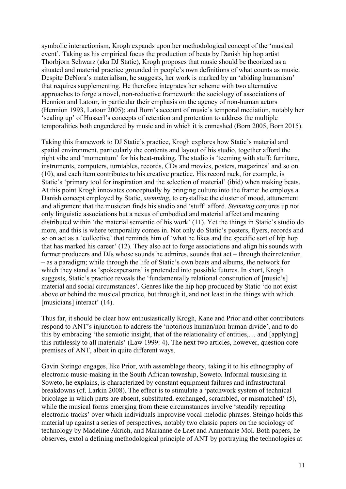symbolic interactionism, Krogh expands upon her methodological concept of the 'musical event'. Taking as his empirical focus the production of beats by Danish hip hop artist Thorbjørn Schwarz (aka DJ Static), Krogh proposes that music should be theorized as a situated and material practice grounded in people's own definitions of what counts as music. Despite DeNora's materialism, he suggests, her work is marked by an 'abiding humanism' that requires supplementing. He therefore integrates her scheme with two alternative approaches to forge a novel, non-reductive framework: the sociology of associations of Hennion and Latour, in particular their emphasis on the agency of non-human actors (Hennion 1993, Latour 2005); and Born's account of music's temporal mediation, notably her 'scaling up' of Husserl's concepts of retention and protention to address the multiple temporalities both engendered by music and in which it is enmeshed (Born 2005, Born 2015).

Taking this framework to DJ Static's practice, Krogh explores how Static's material and spatial environment, particularly the contents and layout of his studio, together afford the right vibe and 'momentum' for his beat-making. The studio is 'teeming with stuff: furniture, instruments, computers, turntables, records, CDs and movies, posters, magazines' and so on (10), and each item contributes to his creative practice. His record rack, for example, is Static's 'primary tool for inspiration and the selection of material' (ibid) when making beats. At this point Krogh innovates conceptually by bringing culture into the frame: he employs a Danish concept employed by Static, *stemning*, to crystallise the cluster of mood, attunement and alignment that the musician finds his studio and 'stuff' afford. *Stemning* conjures up not only linguistic associations but a nexus of embodied and material affect and meaning distributed within 'the material semantic of his work' (11). Yet the things in Static's studio do more, and this is where temporality comes in. Not only do Static's posters, flyers, records and so on act as a 'collective' that reminds him of 'what he likes and the specific sort of hip hop that has marked his career' (12). They also act to forge associations and align his sounds with former producers and DJs whose sounds he admires, sounds that act – through their retention – as a paradigm; while through the life of Static's own beats and albums, the network for which they stand as 'spokespersons' is protended into possible futures. In short, Krogh suggests, Static's practice reveals the 'fundamentally relational constitution of [music's] material and social circumstances'. Genres like the hip hop produced by Static 'do not exist above or behind the musical practice, but through it, and not least in the things with which [musicians] interact' (14).

Thus far, it should be clear how enthusiastically Krogh, Kane and Prior and other contributors respond to ANT's injunction to address the 'notorious human/non-human divide', and to do this by embracing 'the semiotic insight, that of the relationality of entities,… and [applying] this ruthlessly to all materials' (Law 1999: 4). The next two articles, however, question core premises of ANT, albeit in quite different ways.

Gavin Steingo engages, like Prior, with assemblage theory, taking it to his ethnography of electronic music-making in the South African township, Soweto. Informal musicking in Soweto, he explains, is characterized by constant equipment failures and infrastructural breakdowns (cf. Larkin 2008). The effect is to stimulate a 'patchwork system of technical bricolage in which parts are absent, substituted, exchanged, scrambled, or mismatched' (5), while the musical forms emerging from these circumstances involve 'steadily repeating electronic tracks' over which individuals improvise vocal-melodic phrases. Steingo holds this material up against a series of perspectives, notably two classic papers on the sociology of technology by Madeline Akrich, and Marianne de Laet and Annemarie Mol. Both papers, he observes, extol a defining methodological principle of ANT by portraying the technologies at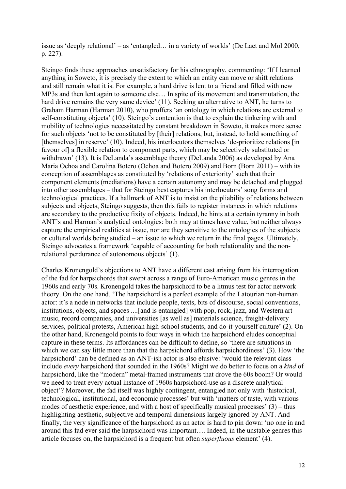issue as 'deeply relational' – as 'entangled… in a variety of worlds' (De Laet and Mol 2000, p. 227).

Steingo finds these approaches unsatisfactory for his ethnography, commenting: 'If I learned anything in Soweto, it is precisely the extent to which an entity can move or shift relations and still remain what it is. For example, a hard drive is lent to a friend and filled with new MP3s and then lent again to someone else… In spite of its movement and transmutation, the hard drive remains the very same device' (11). Seeking an alternative to ANT, he turns to Graham Harman (Harman 2010), who proffers 'an ontology in which relations are external to self-constituting objects' (10). Steingo's contention is that to explain the tinkering with and mobility of technologies necessitated by constant breakdown in Soweto, it makes more sense for such objects 'not to be constituted by [their] relations, but, instead, to hold something of [themselves] in reserve' (10). Indeed, his interlocutors themselves 'de-prioritize relations [in] favour of a flexible relation to component parts, which may be selectively substituted or withdrawn' (13). It is DeLanda's assemblage theory (DeLanda 2006) as developed by Ana Maria Ochoa and Carolina Botero (Ochoa and Botero 2009) and Born (Born 2011) – with its conception of assemblages as constituted by 'relations of exteriority' such that their component elements (mediations) have a certain autonomy and may be detached and plugged into other assemblages – that for Steingo best captures his interlocutors' song forms and technological practices. If a hallmark of ANT is to insist on the pliability of relations between subjects and objects, Steingo suggests, then this fails to register instances in which relations are secondary to the productive fixity of objects. Indeed, he hints at a certain tyranny in both ANT's and Harman's analytical ontologies: both may at times have value, but neither always capture the empirical realities at issue, nor are they sensitive to the ontologies of the subjects or cultural worlds being studied – an issue to which we return in the final pages. Ultimately, Steingo advocates a framework 'capable of accounting for both relationality and the nonrelational perdurance of autonomous objects' (1).

Charles Kronengold's objections to ANT have a different cast arising from his interrogation of the fad for harpsichords that swept across a range of Euro-American music genres in the 1960s and early 70s. Kronengold takes the harpsichord to be a litmus test for actor network theory. On the one hand, 'The harpsichord is a perfect example of the Latourian non-human actor: it's a node in networks that include people, texts, bits of discourse, social conventions, institutions, objects, and spaces ....[and is entangled] with pop, rock, jazz, and Western art music, record companies, and universities [as well as] materials science, freight-delivery services, political protests, American high-school students, and do-it-yourself culture' (2). On the other hand, Kronengold points to four ways in which the harpsichord eludes conceptual capture in these terms. Its affordances can be difficult to define, so 'there are situations in which we can say little more than that the harpsichord affords harpsichordiness' (3). How 'the harpsichord' can be defined as an ANT-ish actor is also elusive: 'would the relevant class include *every* harpsichord that sounded in the 1960s? Might we do better to focus on a *kind* of harpsichord, like the "modern" metal-framed instruments that drove the 60s boom? Or would we need to treat every actual instance of 1960s harpsichord-use as a discrete analytical object'? Moreover, the fad itself was highly contingent, entangled not only with 'historical, technological, institutional, and economic processes' but with 'matters of taste, with various modes of aesthetic experience, and with a host of specifically musical processes' (3) – thus highlighting aesthetic, subjective and temporal dimensions largely ignored by ANT. And finally, the very significance of the harpsichord as an actor is hard to pin down: 'no one in and around this fad ever said the harpsichord was important…. Indeed, in the unstable genres this article focuses on, the harpsichord is a frequent but often *superfluous* element' (4).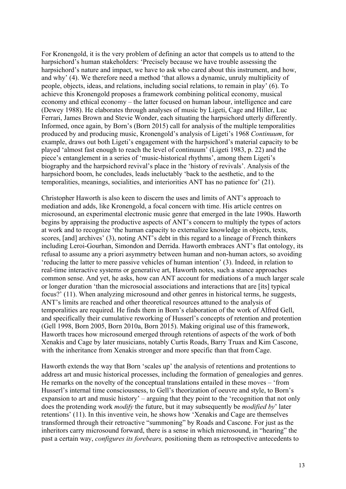For Kronengold, it is the very problem of defining an actor that compels us to attend to the harpsichord's human stakeholders: 'Precisely because we have trouble assessing the harpsichord's nature and impact, we have to ask who cared about this instrument, and how, and why' (4). We therefore need a method 'that allows a dynamic, unruly multiplicity of people, objects, ideas, and relations, including social relations, to remain in play' (6). To achieve this Kronengold proposes a framework combining political economy, musical economy and ethical economy – the latter focused on human labour, intelligence and care (Dewey 1988). He elaborates through analyses of music by Ligeti, Cage and Hiller, Luc Ferrari, James Brown and Stevie Wonder, each situating the harpsichord utterly differently. Informed, once again, by Born's (Born 2015) call for analysis of the multiple temporalities produced by and producing music, Kronengold's analysis of Ligeti's 1968 *Continuum*, for example, draws out both Ligeti's engagement with the harpsichord's material capacity to be played 'almost fast enough to reach the level of continuum' (Ligeti 1983, p. 22) and the piece's entanglement in a series of 'music-historical rhythms', among them Ligeti's biography and the harpsichord revival's place in the 'history of revivals'. Analysis of the harpsichord boom, he concludes, leads ineluctably 'back to the aesthetic, and to the temporalities, meanings, socialities, and interiorities ANT has no patience for' (21).

Christopher Haworth is also keen to discern the uses and limits of ANT's approach to mediation and adds, like Kronengold, a focal concern with time. His article centres on microsound, an experimental electronic music genre that emerged in the late 1990s. Haworth begins by appraising the productive aspects of ANT's concern to multiply the types of actors at work and to recognize 'the human capacity to externalize knowledge in objects, texts, scores, [and] archives' (3), noting ANT's debt in this regard to a lineage of French thinkers including Leroi-Gourhan, Simondon and Derrida. Haworth embraces ANT's flat ontology, its refusal to assume any a priori asymmetry between human and non-human actors, so avoiding 'reducing the latter to mere passive vehicles of human intention' (3). Indeed, in relation to real-time interactive systems or generative art, Haworth notes, such a stance approaches common sense. And yet, he asks, how can ANT account for mediations of a much larger scale or longer duration 'than the microsocial associations and interactions that are [its] typical focus?' (11). When analyzing microsound and other genres in historical terms, he suggests, ANT's limits are reached and other theoretical resources attuned to the analysis of temporalities are required. He finds them in Born's elaboration of the work of Alfred Gell, and specifically their cumulative reworking of Husserl's concepts of retention and protention (Gell 1998, Born 2005, Born 2010a, Born 2015). Making original use of this framework, Haworth traces how microsound emerged through retentions of aspects of the work of both Xenakis and Cage by later musicians, notably Curtis Roads, Barry Truax and Kim Cascone, with the inheritance from Xenakis stronger and more specific than that from Cage.

Haworth extends the way that Born 'scales up' the analysis of retentions and protentions to address art and music historical processes, including the formation of genealogies and genres. He remarks on the novelty of the conceptual translations entailed in these moves – 'from Husserl's internal time consciousness, to Gell's theorization of oeuvre and style, to Born's expansion to art and music history' – arguing that they point to the 'recognition that not only does the protending work *modify* the future, but it may subsequently be *modified by*' later retentions' (11). In this inventive vein, he shows how 'Xenakis and Cage are themselves transformed through their retroactive "summoning" by Roads and Cascone. For just as the inheritors carry microsound forward, there is a sense in which microsound, in "hearing" the past a certain way, *configures its forebears,* positioning them as retrospective antecedents to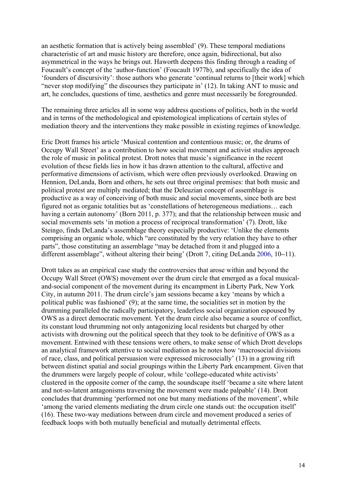an aesthetic formation that is actively being assembled' (9). These temporal mediations characteristic of art and music history are therefore, once again, bidirectional, but also asymmetrical in the ways he brings out. Haworth deepens this finding through a reading of Foucault's concept of the 'author-function' (Foucault 1977b), and specifically the idea of 'founders of discursivity': those authors who generate 'continual returns to [their work] which "never stop modifying" the discourses they participate in' (12). In taking ANT to music and art, he concludes, questions of time, aesthetics and genre must necessarily be foregrounded.

The remaining three articles all in some way address questions of politics, both in the world and in terms of the methodological and epistemological implications of certain styles of mediation theory and the interventions they make possible in existing regimes of knowledge.

Eric Drott frames his article 'Musical contention and contentious music; or, the drums of Occupy Wall Street' as a contribution to how social movement and activist studies approach the role of music in political protest. Drott notes that music's significance in the recent evolution of these fields lies in how it has drawn attention to the cultural, affective and performative dimensions of activism, which were often previously overlooked. Drawing on Hennion, DeLanda, Born and others, he sets out three original premises: that both music and political protest are multiply mediated; that the Deleuzian concept of assemblage is productive as a way of conceiving of both music and social movements, since both are best figured not as organic totalities but as 'constellations of heterogeneous mediations… each having a certain autonomy' (Born 2011, p. 377); and that the relationship between music and social movements sets 'in motion a process of reciprocal transformation' (7). Drott, like Steingo, finds DeLanda's assemblage theory especially productive: 'Unlike the elements comprising an organic whole, which "are constituted by the very relation they have to other parts", those constituting an assemblage "may be detached from it and plugged into a different assemblage", without altering their being' (Drott 7, citing DeLanda 2006, 10**–**11).

Drott takes as an empirical case study the controversies that arose within and beyond the Occupy Wall Street (OWS) movement over the drum circle that emerged as a focal musicaland-social component of the movement during its encampment in Liberty Park, New York City, in autumn 2011. The drum circle's jam sessions became a key 'means by which a political public was fashioned' (9); at the same time, the socialities set in motion by the drumming paralleled the radically participatory, leaderless social organization espoused by OWS as a direct democratic movement. Yet the drum circle also became a source of conflict, its constant loud thrumming not only antagonizing local residents but charged by other activists with drowning out the political speech that they took to be definitive of OWS as a movement. Entwined with these tensions were others, to make sense of which Drott develops an analytical framework attentive to social mediation as he notes how 'macrosocial divisions of race, class, and political persuasion were expressed microsocially' (13) in a growing rift between distinct spatial and social groupings within the Liberty Park encampment. Given that the drummers were largely people of colour, while 'college-educated white activists' clustered in the opposite corner of the camp, the soundscape itself 'became a site where latent and not-so-latent antagonisms traversing the movement were made palpable' (14). Drott concludes that drumming 'performed not one but many mediations of the movement', while 'among the varied elements mediating the drum circle one stands out: the occupation itself' (16). These two-way mediations between drum circle and movement produced a series of feedback loops with both mutually beneficial and mutually detrimental effects.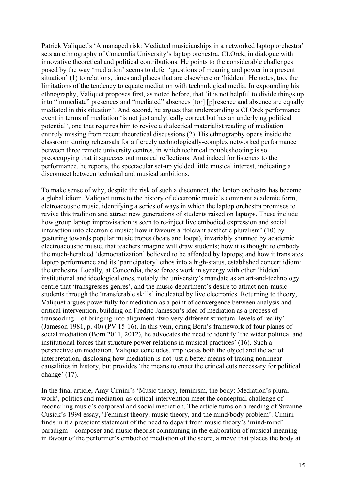Patrick Valiquet's 'A managed risk: Mediated musicianships in a networked laptop orchestra' sets an ethnography of Concordia University's laptop orchestra, CLOrck, in dialogue with innovative theoretical and political contributions. He points to the considerable challenges posed by the way 'mediation' seems to defer 'questions of meaning and power in a present situation' (1) to relations, times and places that are elsewhere or 'hidden'. He notes, too, the limitations of the tendency to equate mediation with technological media. In expounding his ethnography, Valiquet proposes first, as noted before, that 'it is not helpful to divide things up into "immediate" presences and "mediated" absences [for] [p]resence and absence are equally mediated in this situation'. And second, he argues that understanding a CLOrck performance event in terms of mediation 'is not just analytically correct but has an underlying political potential', one that requires him to revive a dialectical materialist reading of mediation entirely missing from recent theoretical discussions (2). His ethnography opens inside the classroom during rehearsals for a fiercely technologically-complex networked performance between three remote university centres, in which technical troubleshooting is so preoccupying that it squeezes out musical reflections. And indeed for listeners to the performance, he reports, the spectacular set-up yielded little musical interest, indicating a disconnect between technical and musical ambitions.

To make sense of why, despite the risk of such a disconnect, the laptop orchestra has become a global idiom, Valiquet turns to the history of electronic music's dominant academic form, eletroacoustic music, identifying a series of ways in which the laptop orchestra promises to revive this tradition and attract new generations of students raised on laptops. These include how group laptop improvisation is seen to re-inject live embodied expression and social interaction into electronic music; how it favours a 'tolerant aesthetic pluralism' (10) by gesturing towards popular music tropes (beats and loops), invariably shunned by academic electroacoustic music, that teachers imagine will draw students; how it is thought to embody the much-heralded 'democratization' believed to be afforded by laptops; and how it translates laptop performance and its 'participatory' ethos into a high-status, established concert idiom: the orchestra. Locally, at Concordia, these forces work in synergy with other 'hidden' institutional and ideological ones, notably the university's mandate as an art-and-technology centre that 'transgresses genres', and the music department's desire to attract non-music students through the 'transferable skills' inculcated by live electronics. Returning to theory, Valiquet argues powerfully for mediation as a point of convergence between analysis and critical intervention, building on Fredric Jameson's idea of mediation as a process of transcoding – of bringing into alignment 'two very different structural levels of reality' (Jameson 1981, p. 40) (PV 15-16). In this vein, citing Born's framework of four planes of social mediation (Born 2011, 2012), he advocates the need to identify 'the wider political and institutional forces that structure power relations in musical practices' (16). Such a perspective on mediation, Valiquet concludes, implicates both the object and the act of interpretation, disclosing how mediation is not just a better means of tracing nonlinear causalities in history, but provides 'the means to enact the critical cuts necessary for political change' (17).

In the final article, Amy Cimini's 'Music theory, feminism, the body: Mediation's plural work', politics and mediation-as-critical-intervention meet the conceptual challenge of reconciling music's corporeal and social mediation. The article turns on a reading of Suzanne Cusick's 1994 essay, 'Feminist theory, music theory, and the mind/body problem'. Cimini finds in it a prescient statement of the need to depart from music theory's 'mind-mind' paradigm – composer and music theorist communing in the elaboration of musical meaning – in favour of the performer's embodied mediation of the score, a move that places the body at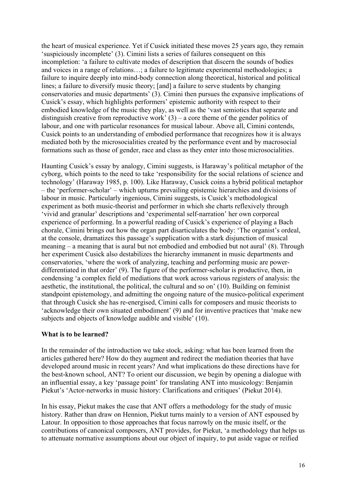the heart of musical experience. Yet if Cusick initiated these moves 25 years ago, they remain 'suspiciously incomplete' (3). Cimini lists a series of failures consequent on this incompletion: 'a failure to cultivate modes of description that discern the sounds of bodies and voices in a range of relations…; a failure to legitimate experimental methodologies; a failure to inquire deeply into mind-body connection along theoretical, historical and political lines; a failure to diversify music theory; [and] a failure to serve students by changing conservatories and music departments' (3). Cimini then pursues the expansive implications of Cusick's essay, which highlights performers' epistemic authority with respect to their embodied knowledge of the music they play, as well as the 'vast semiotics that separate and distinguish creative from reproductive work'  $(3)$  – a core theme of the gender politics of labour, and one with particular resonances for musical labour. Above all, Cimini contends, Cusick points to an understanding of embodied performance that recognizes how it is always mediated both by the microsocialities created by the performance event and by macrosocial formations such as those of gender, race and class as they enter into those microsocialities.

Haunting Cusick's essay by analogy, Cimini suggests, is Haraway's political metaphor of the cyborg, which points to the need to take 'responsibility for the social relations of science and technology' (Haraway 1985, p. 100). Like Haraway, Cusick coins a hybrid political metaphor – the 'performer-scholar' – which upturns prevailing epistemic hierarchies and divisions of labour in music. Particularly ingenious, Cimini suggests, is Cusick's methodological experiment as both music-theorist and performer in which she charts reflexively through 'vivid and granular' descriptions and 'experimental self-narration' her own corporeal experience of performing. In a powerful reading of Cusick's experience of playing a Bach chorale, Cimini brings out how the organ part disarticulates the body: 'The organist's ordeal, at the console, dramatizes this passage's supplication with a stark disjunction of musical meaning – a meaning that is aural but not embodied and embodied but not aural' (8). Through her experiment Cusick also destabilizes the hierarchy immanent in music departments and conservatories, 'where the work of analyzing, teaching and performing music are powerdifferentiated in that order' (9). The figure of the performer-scholar is productive, then, in condensing 'a complex field of mediations that work across various registers of analysis: the aesthetic, the institutional, the political, the cultural and so on' (10). Building on feminist standpoint epistemology, and admitting the ongoing nature of the musico-political experiment that through Cusick she has re-energised, Cimini calls for composers and music theorists to 'acknowledge their own situated embodiment' (9) and for inventive practices that 'make new subjects and objects of knowledge audible and visible' (10).

## **What is to be learned?**

In the remainder of the introduction we take stock, asking: what has been learned from the articles gathered here? How do they augment and redirect the mediation theories that have developed around music in recent years? And what implications do these directions have for the best-known school, ANT? To orient our discussion, we begin by opening a dialogue with an influential essay, a key 'passage point' for translating ANT into musicology: Benjamin Piekut's 'Actor-networks in music history: Clarifications and critiques' (Piekut 2014).

In his essay, Piekut makes the case that ANT offers a methodology for the study of music history. Rather than draw on Hennion, Piekut turns mainly to a version of ANT espoused by Latour. In opposition to those approaches that focus narrowly on the music itself, or the contributions of canonical composers, ANT provides, for Piekut, 'a methodology that helps us to attenuate normative assumptions about our object of inquiry, to put aside vague or reified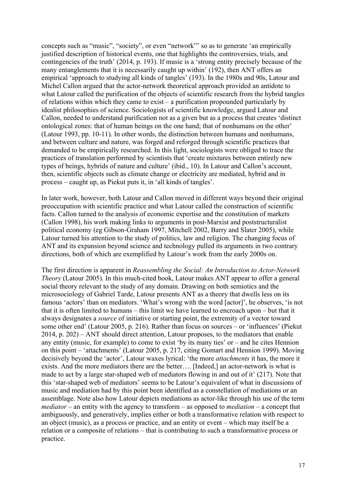concepts such as "music", "society", or even "network"' so as to generate 'an empirically justified description of historical events, one that highlights the controversies, trials, and contingencies of the truth' (2014, p. 193). If music is a 'strong entity precisely because of the many entanglements that it is necessarily caught up within' (192), then ANT offers an empirical 'approach to studying all kinds of tangles' (193). In the 1980s and 90s, Latour and Michel Callon argued that the actor-network theoretical approach provided an antidote to what Latour called the purification of the objects of scientific research from the hybrid tangles of relations within which they came to exist – a purification propounded particularly by idealist philosophies of science. Sociologists of scientific knowledge, argued Latour and Callon, needed to understand purification not as a given but as a process that creates 'distinct ontological zones: that of human beings on the one hand; that of nonhumans on the other' (Latour 1993, pp. 10-11). In other words, the distinction between humans and nonhumans, and between culture and nature, was forged and reforged through scientific practices that demanded to be empirically researched. In this light, sociologists were obliged to trace the practices of translation performed by scientists that 'create mixtures between entirely new types of beings, hybrids of nature and culture' (ibid., 10). In Latour and Callon's account, then, scientific objects such as climate change or electricity are mediated, hybrid and in process – caught up, as Piekut puts it, in 'all kinds of tangles'.

In later work, however, both Latour and Callon moved in different ways beyond their original preoccupation with scientific practice and what Latour called the construction of scientific facts. Callon turned to the analysis of economic expertise and the constitution of markets (Callon 1998), his work making links to arguments in post-Marxist and poststructuralist political economy (eg Gibson-Graham 1997, Mitchell 2002, Barry and Slater 2005), while Latour turned his attention to the study of politics, law and religion. The changing focus of ANT and its expansion beyond science and technology pulled its arguments in two contrary directions, both of which are exemplified by Latour's work from the early 2000s on.

The first direction is apparent in *Reassembling the Social: An Introduction to Actor-Network Theory* (Latour 2005). In this much-cited book, Latour makes ANT appear to offer a general social theory relevant to the study of any domain. Drawing on both semiotics and the microsociology of Gabriel Tarde, Latour presents ANT as a theory that dwells less on its famous 'actors' than on mediators. 'What's wrong with the word [actor]', he observes, 'is not that it is often limited to humans – this limit we have learned to encroach upon – but that it always designates a *source* of initiative or starting point, the extremity of a vector toward some other end' (Latour 2005, p. 216). Rather than focus on sources – or 'influences' (Piekut 2014, p. 202) – ANT should direct attention, Latour proposes, to the mediators that enable any entity (music, for example) to come to exist 'by its many ties' or – and he cites Hennion on this point – 'attachments' (Latour 2005, p. 217, citing Gomart and Hennion 1999). Moving decisively beyond the 'actor', Latour waxes lyrical: 'the more *attachments* it has, the more it exists. And the more mediators there are the better…. [Indeed,] an actor-network is what is made to act by a large star-shaped web of mediators flowing in and out of it' (217). Note that this 'star-shaped web of mediators' seems to be Latour's equivalent of what in discussions of music and mediation had by this point been identified as a constellation of mediations or an assemblage. Note also how Latour depicts mediations as actor-like through his use of the term *mediator* – an entity with the agency to transform – as opposed to *mediation* – a concept that ambiguously, and generatively, implies either or both a transformative relation with respect to an object (music), as a process or practice, and an entity or event – which may itself be a relation or a composite of relations – that is contributing to such a transformative process or practice.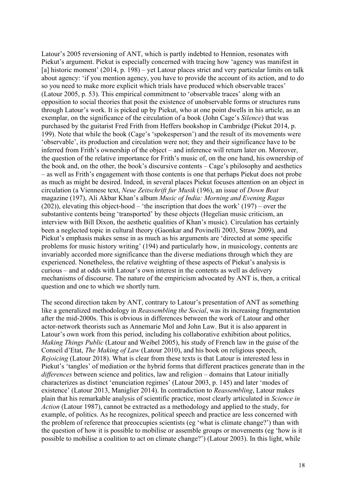Latour's 2005 reversioning of ANT, which is partly indebted to Hennion, resonates with Piekut's argument. Piekut is especially concerned with tracing how 'agency was manifest in [a] historic moment' (2014, p. 198) – yet Latour places strict and very particular limits on talk about agency: 'if you mention agency, you have to provide the account of its action, and to do so you need to make more explicit which trials have produced which observable traces' (Latour 2005, p. 53). This empirical commitment to 'observable traces' along with an opposition to social theories that posit the existence of unobservable forms or structures runs through Latour's work. It is picked up by Piekut, who at one point dwells in his article, as an exemplar, on the significance of the circulation of a book (John Cage's *Silence*) that was purchased by the guitarist Fred Frith from Heffers bookshop in Cambridge (Piekut 2014, p. 199). Note that while the book (Cage's 'spokesperson') and the result of its movements were 'observable', its production and circulation were not; they and their significance have to be inferred from Frith's ownership of the object – and inference will return later on. Moreover, the question of the relative importance for Frith's music of, on the one hand, his ownership of the book and, on the other, the book's discursive contents – Cage's philosophy and aesthetics – as well as Frith's engagement with those contents is one that perhaps Piekut does not probe as much as might be desired. Indeed, in several places Piekut focuses attention on an object in circulation (a Viennese text, *Neue Zeitschrift fur Musik* (196), an issue of *Down Beat*  magazine (197), Ali Akbar Khan's album *Music of India: Morning and Evening Ragas*  (202)), elevating this object-hood – 'the inscription that does the work' (197) – over the substantive contents being 'transported' by these objects (Hegelian music criticism, an interview with Bill Dixon, the aesthetic qualities of Khan's music). Circulation has certainly been a neglected topic in cultural theory (Gaonkar and Povinelli 2003, Straw 2009), and Piekut's emphasis makes sense in as much as his arguments are 'directed at some specific problems for music history writing' (194) and particularly how, in musicology, contents are invariably accorded more significance than the diverse mediations through which they are experienced. Nonetheless, the relative weighting of these aspects of Piekut's analysis is curious – and at odds with Latour's own interest in the contents as well as delivery mechanisms of discourse. The nature of the empiricism advocated by ANT is, then, a critical question and one to which we shortly turn.

The second direction taken by ANT, contrary to Latour's presentation of ANT as something like a generalized methodology in *Reassembling the Social*, was its increasing fragmentation after the mid-2000s. This is obvious in differences between the work of Latour and other actor-network theorists such as Annemarie Mol and John Law. But it is also apparent in Latour's own work from this period, including his collaborative exhibition about politics, *Making Things Public* (Latour and Weibel 2005), his study of French law in the guise of the Conseil d'Etat, *The Making of Law* (Latour 2010), and his book on religious speech, *Rejoicing* (Latour 2018). What is clear from these texts is that Latour is interested less in Piekut's 'tangles' of mediation or the hybrid forms that different practices generate than in the *differences* between science and politics, law and religion – domains that Latour initially characterizes as distinct 'enunciation regimes' (Latour 2003, p. 145) and later 'modes of existence' (Latour 2013, Maniglier 2014). In contradiction to *Reassembling*, Latour makes plain that his remarkable analysis of scientific practice, most clearly articulated in *Science in Action* (Latour 1987), cannot be extracted as a methodology and applied to the study, for example, of politics. As he recognizes, political speech and practice are less concerned with the problem of reference that preoccupies scientists (eg 'what is climate change?') than with the question of how it is possible to mobilise or assemble groups or movements (eg 'how is it possible to mobilise a coalition to act on climate change?') (Latour 2003). In this light, while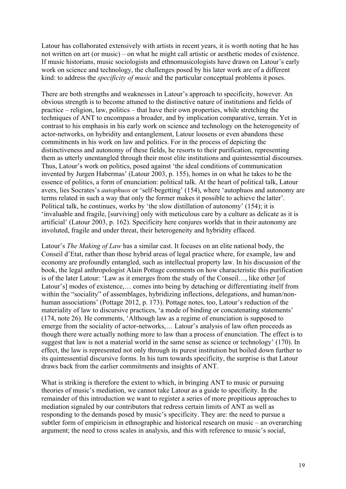Latour has collaborated extensively with artists in recent years, it is worth noting that he has not written on art (or music) – on what he might call artistic or aesthetic modes of existence. If music historians, music sociologists and ethnomusicologists have drawn on Latour's early work on science and technology, the challenges posed by his later work are of a different kind: to address the *specificity of music* and the particular conceptual problems it poses.

There are both strengths and weaknesses in Latour's approach to specificity, however. An obvious strength is to become attuned to the distinctive nature of institutions and fields of practice – religion, law, politics – that have their own properties, while stretching the techniques of ANT to encompass a broader, and by implication comparative, terrain. Yet in contrast to his emphasis in his early work on science and technology on the heterogeneity of actor-networks, on hybridity and entanglement, Latour loosens or even abandons these commitments in his work on law and politics. For in the process of depicting the distinctiveness and autonomy of these fields, he resorts to their purification, representing them as utterly unentangled through their most elite institutions and quintessential discourses. Thus, Latour's work on politics, posed against 'the ideal conditions of communication invented by Jurgen Habermas' (Latour 2003, p. 155), homes in on what he takes to be the essence of politics, a form of enunciation: political talk. At the heart of political talk, Latour avers, lies Socrates's *autophuos* or 'self-begetting' (154), where 'autophuos and autonomy are terms related in such a way that only the former makes it possible to achieve the latter'. Political talk, he continues, works by 'the slow distillation of autonomy' (154); it is 'invaluable and fragile, [surviving] only with meticulous care by a culture as delicate as it is artificial' (Latour 2003, p. 162). Specificity here conjures worlds that in their autonomy are involuted, fragile and under threat, their heterogeneity and hybridity effaced.

Latour's *The Making of Law* has a similar cast. It focuses on an elite national body, the Conseil d'Etat, rather than those hybrid areas of legal practice where, for example, law and economy are profoundly entangled, such as intellectual property law. In his discussion of the book, the legal anthropologist Alain Pottage comments on how characteristic this purification is of the later Latour: 'Law as it emerges from the study of the Conseil…, like other [of Latour's] modes of existence,… comes into being by detaching or differentiating itself from within the "sociality" of assemblages, hybridizing inflections, delegations, and human/nonhuman associations' (Pottage 2012, p. 173). Pottage notes, too, Latour's reduction of the materiality of law to discursive practices, 'a mode of binding or concatenating statements' (174, note 26). He comments, 'Although law as a regime of enunciation is supposed to emerge from the sociality of actor-networks,… Latour's analysis of law often proceeds as though there were actually nothing more to law than a process of enunciation. The effect is to suggest that law is not a material world in the same sense as science or technology' (170). In effect, the law is represented not only through its purest institution but boiled down further to its quintessential discursive forms. In his turn towards specificity, the surprise is that Latour draws back from the earlier commitments and insights of ANT.

What is striking is therefore the extent to which, in bringing ANT to music or pursuing theories of music's mediation, we cannot take Latour as a guide to specificity. In the remainder of this introduction we want to register a series of more propitious approaches to mediation signaled by our contributors that redress certain limits of ANT as well as responding to the demands posed by music's specificity. They are: the need to pursue a subtler form of empiricism in ethnographic and historical research on music – an overarching argument; the need to cross scales in analysis, and this with reference to music's social,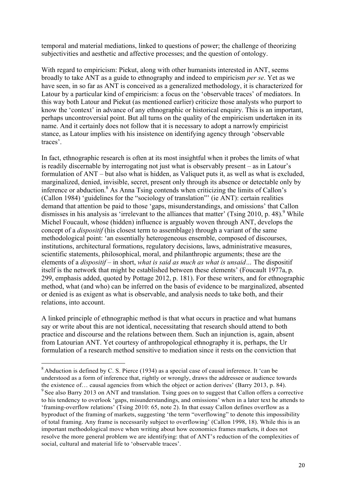temporal and material mediations, linked to questions of power; the challenge of theorizing subjectivities and aesthetic and affective processes; and the question of ontology.

With regard to empiricism: Piekut, along with other humanists interested in ANT, seems broadly to take ANT as a guide to ethnography and indeed to empiricism *per se*. Yet as we have seen, in so far as ANT is conceived as a generalized methodology, it is characterized for Latour by a particular kind of empiricism: a focus on the 'observable traces' of mediators. In this way both Latour and Piekut (as mentioned earlier) criticize those analysts who purport to know the 'context' in advance of any ethnographic or historical enquiry. This is an important, perhaps uncontroversial point. But all turns on the quality of the empiricism undertaken in its name. And it certainly does not follow that it is necessary to adopt a narrowly empiricist stance, as Latour implies with his insistence on identifying agency through 'observable traces'.

In fact, ethnographic research is often at its most insightful when it probes the limits of what is readily discernable by interrogating not just what is observably present – as in Latour's formulation of ANT – but also what is hidden, as Valiquet puts it, as well as what is excluded, marginalized, denied, invisible, secret, present only through its absence or detectable only by inference or abduction.<sup>8</sup> As Anna Tsing contends when criticizing the limits of Callon's (Callon 1984) 'guidelines for the "sociology of translation"' (ie ANT): certain realities demand that attention be paid to those 'gaps, misunderstandings, and omissions' that Callon dismisses in his analysis as 'irrelevant to the alliances that matter' (Tsing 2010, p. 48).<sup>9</sup> While Michel Foucault, whose (hidden) influence is arguably woven through ANT, develops the concept of a *dispositif* (his closest term to assemblage) through a variant of the same methodological point: 'an essentially heterogeneous ensemble, composed of discourses, institutions, architectural formations, regulatory decisions, laws, administrative measures, scientific statements, philosophical, moral, and philanthropic arguments; these are the elements of a *dispositif* – in short, *what is said as much as what is unsaid…* The dispositif itself is the network that might be established between these elements' (Foucault 1977a, p. 299, emphasis added, quoted by Pottage 2012, p. 181). For these writers, and for ethnographic method, what (and who) can be inferred on the basis of evidence to be marginalized, absented or denied is as exigent as what is observable, and analysis needs to take both, and their relations, into account.

A linked principle of ethnographic method is that what occurs in practice and what humans say or write about this are not identical, necessitating that research should attend to both practice and discourse and the relations between them. Such an injunction is, again, absent from Latourian ANT. Yet courtesy of anthropological ethnography it is, perhaps, the Ur formulation of a research method sensitive to mediation since it rests on the conviction that

 $8$  Abduction is defined by C. S. Pierce (1934) as a special case of causal inference. It 'can be understood as a form of inference that, rightly or wrongly, draws the addressee or audience towards the existence of… causal agencies from which the object or action derives' (Barry 2013, p. 84). <sup>9</sup> See also Barry 2013 on ANT and translation. Tsing goes on to suggest that Callon offers a corrective to his tendency to overlook 'gaps, misunderstandings, and omissions' when in a later text he attends to 'framing-overflow relations' (Tsing 2010: 65, note 2). In that essay Callon defines overflow as a byproduct of the framing of markets, suggesting 'the term "overflowing" to denote this impossibility of total framing. Any frame is necessarily subject to overflowing' (Callon 1998, 18). While this is an important methodological move when writing about how economics frames markets, it does not resolve the more general problem we are identifying: that of ANT's reduction of the complexities of social, cultural and material life to 'observable traces'.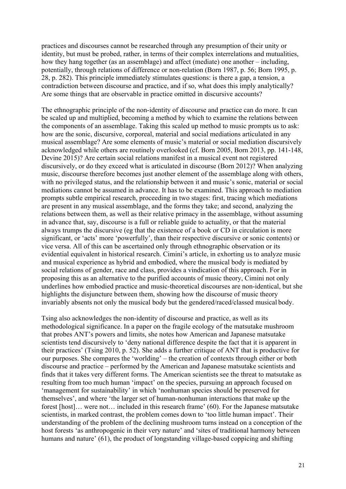practices and discourses cannot be researched through any presumption of their unity or identity, but must be probed, rather, in terms of their complex interrelations and mutualities, how they hang together (as an assemblage) and affect (mediate) one another – including, potentially, through relations of difference or non-relation (Born 1987, p. 56; Born 1995, p. 28, p. 282). This principle immediately stimulates questions: is there a gap, a tension, a contradiction between discourse and practice, and if so, what does this imply analytically? Are some things that are observable in practice omitted in discursive accounts?

The ethnographic principle of the non-identity of discourse and practice can do more. It can be scaled up and multiplied, becoming a method by which to examine the relations between the components of an assemblage. Taking this scaled up method to music prompts us to ask: how are the sonic, discursive, corporeal, material and social mediations articulated in any musical assemblage? Are some elements of music's material or social mediation discursively acknowledged while others are routinely overlooked (cf. Born 2005, Born 2013, pp. 141-148, Devine 2015)? Are certain social relations manifest in a musical event not registered discursively, or do they exceed what is articulated in discourse (Born 2012)? When analyzing music, discourse therefore becomes just another element of the assemblage along with others, with no privileged status, and the relationship between it and music's sonic, material or social mediations cannot be assumed in advance. It has to be examined. This approach to mediation prompts subtle empirical research, proceeding in two stages: first, tracing which mediations are present in any musical assemblage, and the forms they take; and second, analyzing the relations between them, as well as their relative primacy in the assemblage, without assuming in advance that, say, discourse is a full or reliable guide to actuality, or that the material always trumps the discursive (eg that the existence of a book or CD in circulation is more significant, or 'acts' more 'powerfully', than their respective discursive or sonic contents) or vice versa. All of this can be ascertained only through ethnographic observation or its evidential equivalent in historical research. Cimini's article, in exhorting us to analyze music and musical experience as hybrid and embodied, where the musical body is mediated by social relations of gender, race and class, provides a vindication of this approach. For in proposing this as an alternative to the purified accounts of music theory, Cimini not only underlines how embodied practice and music-theoretical discourses are non-identical, but she highlights the disjuncture between them, showing how the discourse of music theory invariably absents not only the musical body but the gendered/raced/classed musical body.

Tsing also acknowledges the non-identity of discourse and practice, as well as its methodological significance. In a paper on the fragile ecology of the matsutake mushroom that probes ANT's powers and limits, she notes how American and Japanese matsutake scientists tend discursively to 'deny national difference despite the fact that it is apparent in their practices' (Tsing 2010, p. 52). She adds a further critique of ANT that is productive for our purposes. She compares the 'worlding' – the creation of contexts through either or both discourse and practice – performed by the American and Japanese matsutake scientists and finds that it takes very different forms. The American scientists see the threat to matsutake as resulting from too much human 'impact' on the species, pursuing an approach focused on 'management for sustainability' in which 'nonhuman species should be preserved for themselves', and where 'the larger set of human-nonhuman interactions that make up the forest [host]… were not… included in this research frame' (60). For the Japanese matsutake scientists, in marked contrast, the problem comes down to 'too little human impact'. Their understanding of the problem of the declining mushroom turns instead on a conception of the host forests 'as anthropogenic in their very nature' and 'sites of traditional harmony between humans and nature' (61), the product of longstanding village-based coppicing and shifting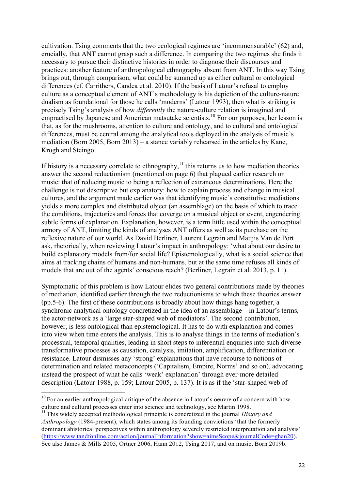cultivation. Tsing comments that the two ecological regimes are 'incommensurable' (62) and, crucially, that ANT cannot grasp such a difference. In comparing the two regimes she finds it necessary to pursue their distinctive histories in order to diagnose their discourses and practices: another feature of anthropological ethnography absent from ANT. In this way Tsing brings out, through comparison, what could be summed up as either cultural or ontological differences (cf. Carrithers, Candea et al. 2010). If the basis of Latour's refusal to employ culture as a conceptual element of ANT's methodology is his depiction of the culture-nature dualism as foundational for those he calls 'moderns' (Latour 1993), then what is striking is precisely Tsing's analysis of how *differently* the nature-culture relation is imagined and empractised by Japanese and American matsutake scientists.<sup>10</sup> For our purposes, her lesson is that, as for the mushrooms, attention to culture and ontology, and to cultural and ontological differences, must be central among the analytical tools deployed in the analysis of music's mediation (Born 2005, Born 2013) – a stance variably rehearsed in the articles by Kane, Krogh and Steingo.

If history is a necessary correlate to ethnography, $<sup>11</sup>$  this returns us to how mediation theories</sup> answer the second reductionism (mentioned on page 6) that plagued earlier research on music: that of reducing music to being a reflection of extraneous determinations. Here the challenge is not descriptive but explanatory: how to explain process and change in musical cultures, and the argument made earlier was that identifying music's constitutive mediations yields a more complex and distributed object (an assemblage) on the basis of which to trace the conditions, trajectories and forces that coverge on a musical object or event, engendering subtle forms of explanation. Explanation, however, is a term little used within the conceptual armory of ANT, limiting the kinds of analyses ANT offers as well as its purchase on the reflexive nature of our world. As David Berliner, Laurent Legrain and Mattjis Van de Port ask, rhetorically, when reviewing Latour's impact in anthropology: 'what about our desire to build explanatory models from/for social life? Epistemologically, what is a social science that aims at tracking chains of humans and non-humans, but at the same time refuses all kinds of models that are out of the agents' conscious reach? (Berliner, Legrain et al. 2013, p. 11).

Symptomatic of this problem is how Latour elides two general contributions made by theories of mediation, identified earlier through the two reductionisms to which these theories answer (pp.5-6). The first of these contributions is broadly about how things hang together, a synchronic analytical ontology concretized in the idea of an assemblage – in Latour's terms, the actor-network as a 'large star-shaped web of mediators'. The second contribution, however, is less ontological than epistemological. It has to do with explanation and comes into view when time enters the analysis. This is to analyse things in the terms of mediation's processual, temporal qualities, leading in short steps to inferential enquiries into such diverse transformative processes as causation, catalysis, imitation, amplification, differentiation or resistance. Latour dismisses any 'strong' explanations that have recourse to notions of determination and related metaconcepts ('Capitalism, Empire, Norms' and so on), advocating instead the prospect of what he calls 'weak' explanation' through ever-more detailed description (Latour 1988, p. 159; Latour 2005, p. 137). It is as if the 'star-shaped web of

 $10$  For an earlier anthropological critique of the absence in Latour's oeuvre of a concern with how culture and cultural processes enter into science and technology, see Martin 1998.

<sup>&</sup>lt;sup>11</sup> This widely accepted methodological principle is concretized in the journal *History and Anthropology* (1984-present), which states among its founding convictions 'that the formerly dominant ahistorical perspectives within anthropology severely restricted interpretation and analysis' (https://www.tandfonline.com/action/journalInformation?show=aimsScope&journalCode=ghan20). See also James & Mills 2005, Ortner 2006, Hann 2012, Tsing 2017, and on music, Born 2019b.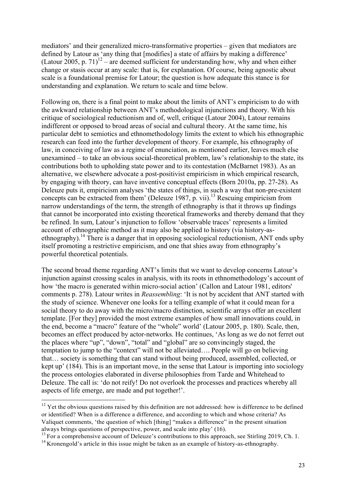mediators' and their generalized micro-transformative properties – given that mediators are defined by Latour as 'any thing that [modifies] a state of affairs by making a difference' (Latour 2005, p. 71)<sup>12</sup> – are deemed sufficient for understanding how, why and when either change or stasis occur at any scale: that is, for explanation. Of course, being agnostic about scale is a foundational premise for Latour; the question is how adequate this stance is for understanding and explanation. We return to scale and time below.

Following on, there is a final point to make about the limits of ANT's empiricism to do with the awkward relationship between ANT's methodological injunctions and theory. With his critique of sociological reductionism and of, well, critique (Latour 2004), Latour remains indifferent or opposed to broad areas of social and cultural theory. At the same time, his particular debt to semiotics and ethnomethodology limits the extent to which his ethnographic research can feed into the further development of theory. For example, his ethnography of law, in conceiving of law as a regime of enunciation, as mentioned earlier, leaves much else unexamined – to take an obvious social-theoretical problem, law's relationship to the state, its contributions both to upholding state power and to its contestation (McBarnet 1983). As an alternative, we elsewhere advocate a post-positivist empiricism in which empirical research, by engaging with theory, can have inventive conceptual effects (Born 2010a, pp. 27-28). As Deleuze puts it, empiricism analyses 'the states of things, in such a way that non-pre-existent concepts can be extracted from them' (Deleuze 1987, p. vii).<sup>13</sup> Rescuing empiricism from narrow understandings of the term, the strength of ethnography is that it throws up findings that cannot be incorporated into existing theoretical frameworks and thereby demand that they be refined. In sum, Latour's injunction to follow 'observable traces' represents a limited account of ethnographic method as it may also be applied to history (via history-asethnography).<sup>14</sup> There is a danger that in opposing sociological reductionism, ANT ends upby itself promoting a restrictive empiricism, and one that shies away from ethnography's powerful theoretical potentials.

The second broad theme regarding ANT's limits that we want to develop concerns Latour's injunction against crossing scales in analysis, with its roots in ethnomethodology's account of how 'the macro is generated within micro-social action' (Callon and Latour 1981, editors' comments p. 278). Latour writes in *Reassembling*: 'It is not by accident that ANT started with the study of science. Whenever one looks for a telling example of what it could mean for a social theory to do away with the micro/macro distinction, scientific arrays offer an excellent template. [For they] provided the most extreme examples of how small innovations could, in the end, become a "macro" feature of the "whole" world' (Latour 2005, p. 180). Scale, then, becomes an effect produced by actor-networks. He continues, 'As long as we do not ferret out the places where "up", "down", "total" and "global" are so convincingly staged, the temptation to jump to the "context" will not be alleviated…. People will go on believing that… society is something that can stand without being produced, assembled, collected, or kept up' (184). This is an important move, in the sense that Latour is importing into sociology the process ontologies elaborated in diverse philosophies from Tarde and Whitehead to Deleuze. The call is: 'do not reify! Do not overlook the processes and practices whereby all aspects of life emerge, are made and put together!'.

<sup>&</sup>lt;sup>12</sup> Yet the obvious questions raised by this definition are not addressed: how is difference to be defined or identified? When is a difference a difference, and according to which and whose criteria? As Valiquet comments, 'the question of which [thing] "makes a difference" in the present situation always brings questions of perspective, power, and scale into play' (16).

<sup>&</sup>lt;sup>13</sup> For a comprehensive account of Deleuze's contributions to this approach, see Stirling 2019, Ch. 1.

<sup>&</sup>lt;sup>14</sup> Kronengold's article in this issue might be taken as an example of history-as-ethnography.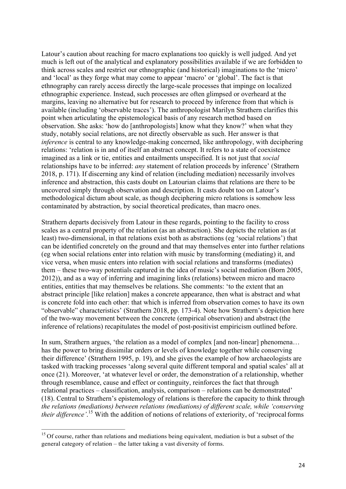Latour's caution about reaching for macro explanations too quickly is well judged. And yet much is left out of the analytical and explanatory possibilities available if we are forbidden to think across scales and restrict our ethnographic (and historical) imaginations to the 'micro' and 'local' as they forge what may come to appear 'macro' or 'global'. The fact is that ethnography can rarely access directly the large-scale processes that impinge on localized ethnographic experience. Instead, such processes are often glimpsed or overheard at the margins, leaving no alternative but for research to proceed by inference from that which is available (including 'observable traces'). The anthropologist Marilyn Strathern clarifies this point when articulating the epistemological basis of any research method based on observation. She asks: 'how do [anthropologists] know what they know?' when what they study, notably social relations, are not directly observable as such. Her answer is that *inference* is central to any knowledge-making concerned, like anthropology, with deciphering relations: 'relation is in and of itself an abstract concept. It refers to a state of coexistence imagined as a link or tie, entities and entailments unspecified. It is not just that *social*  relationships have to be inferred: *any* statement of relation proceeds by inference' (Strathern 2018, p. 171). If discerning any kind of relation (including mediation) necessarily involves inference and abstraction, this casts doubt on Latourian claims that relations are there to be uncovered simply through observation and description. It casts doubt too on Latour's methodological dictum about scale, as though deciphering micro relations is somehow less contaminated by abstraction, by social theoretical predicates, than macro ones.

Strathern departs decisively from Latour in these regards, pointing to the facility to cross scales as a central property of the relation (as an abstraction). She depicts the relation as (at least) two-dimensional, in that relations exist both as abstractions (eg 'social relations') that can be identified concretely on the ground and that may themselves enter into further relations (eg when social relations enter into relation with music by transforming (mediating) it, and vice versa, when music enters into relation with social relations and transforms (mediates) them – these two-way potentials captured in the idea of music's social mediation (Born 2005, 2012)), and as a way of inferring and imagining links (relations) between micro and macro entities, entities that may themselves be relations. She comments: 'to the extent that an abstract principle [like relation] makes a concrete appearance, then what is abstract and what is concrete fold into each other: that which is inferred from observation comes to have its own "observable" characteristics' (Strathern 2018, pp. 173-4). Note how Strathern's depiction here of the two-way movement between the concrete (empirical observation) and abstract (the inference of relations) recapitulates the model of post-positivist empiricism outlined before.

In sum, Strathern argues, 'the relation as a model of complex [and non-linear] phenomena... has the power to bring dissimilar orders or levels of knowledge together while conserving their difference' (Strathern 1995, p. 19), and she gives the example of how archaeologists are tasked with tracking processes 'along several quite different temporal and spatial scales' all at once (21). Moreover, 'at whatever level or order, the demonstration of a relationship, whether through resemblance, cause and effect or continguity, reinforces the fact that through relational practices – classification, analysis, comparison – relations can be demonstrated' (18). Central to Strathern's epistemology of relations is therefore the capacity to think through *the relations (mediations) between relations (mediations) of different scale, while 'conserving their difference'*. <sup>15</sup> With the addition of notions of relations of exteriority, of 'reciprocalforms

<sup>&</sup>lt;sup>15</sup> Of course, rather than relations and mediations being equivalent, mediation is but a subset of the general category of relation – the latter taking a vast diversity of forms.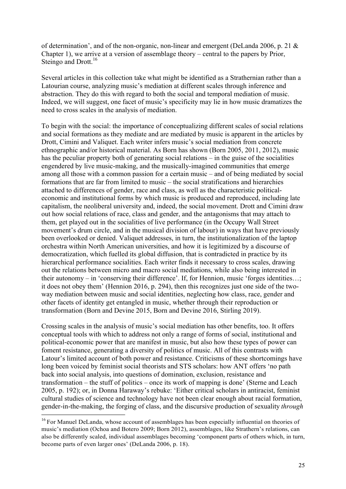of determination', and of the non-organic, non-linear and emergent (DeLanda 2006, p. 21 & Chapter 1), we arrive at a version of assemblage theory – central to the papers by Prior, Steingo and Drott.<sup>16</sup>

Several articles in this collection take what might be identified as a Strathernian rather than a Latourian course, analyzing music's mediation at different scales through inference and abstraction. They do this with regard to both the social and temporal mediation of music. Indeed, we will suggest, one facet of music's specificity may lie in how music dramatizes the need to cross scales in the analysis of mediation.

To begin with the social: the importance of conceptualizing different scales of social relations and social formations as they mediate and are mediated by music is apparent in the articles by Drott, Cimini and Valiquet. Each writer infers music's social mediation from concrete ethnographic and/or historical material. As Born has shown (Born 2005, 2011, 2012), music has the peculiar property both of generating social relations – in the guise of the socialities engendered by live music-making, and the musically-imagined communities that emerge among all those with a common passion for a certain music – and of being mediated by social formations that are far from limited to music – the social stratifications and hierarchies attached to differences of gender, race and class, as well as the characteristic politicaleconomic and institutional forms by which music is produced and reproduced, including late capitalism, the neoliberal university and, indeed, the social movement. Drott and Cimini draw out how social relations of race, class and gender, and the antagonisms that may attach to them, get played out in the socialities of live performance (in the Occupy Wall Street movement's drum circle, and in the musical division of labour) in ways that have previously been overlooked or denied. Valiquet addresses, in turn, the institutionalization of the laptop orchestra within North American universities, and how it is legitimized by a discourse of democratization, which fuelled its global diffusion, that is contradicted in practice by its hierarchical performance socialities. Each writer finds it necessary to cross scales, drawing out the relations between micro and macro social mediations, while also being interested in their autonomy – in 'conserving their difference'. If, for Hennion, music 'forges identities…; it does not obey them' (Hennion 2016, p. 294), then this recognizes just one side of the twoway mediation between music and social identities, neglecting how class, race, gender and other facets of identity get entangled in music, whether through their reproduction or transformation (Born and Devine 2015, Born and Devine 2016, Stirling 2019).

Crossing scales in the analysis of music's social mediation has other benefits, too. It offers conceptual tools with which to address not only a range of forms of social, institutional and political-economic power that are manifest in music, but also how these types of power can foment resistance, generating a diversity of politics of music. All of this contrasts with Latour's limited account of both power and resistance. Criticisms of these shortcomings have long been voiced by feminist social theorists and STS scholars: how ANT offers 'no path back into social analysis, into questions of domination, exclusion, resistance and transformation – the stuff of politics – once its work of mapping is done' (Sterne and Leach 2005, p. 192); or, in Donna Haraway's rebuke: 'Either critical scholars in antiracist, feminist cultural studies of science and technology have not been clear enough about racial formation, gender-in-the-making, the forging of class, and the discursive production of sexuality *through*

<sup>&</sup>lt;sup>16</sup> For Manuel DeLanda, whose account of assemblages has been especially influential on theories of music's mediation (Ochoa and Botero 2009; Born 2012), assemblages, like Strathern's relations, can also be differently scaled, individual assemblages becoming 'component parts of others which, in turn, become parts of even larger ones' (DeLanda 2006, p. 18).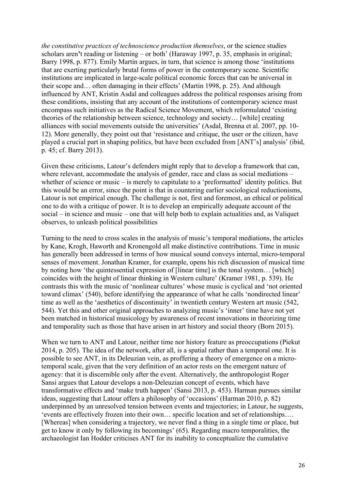*the constitutive practices of technoscience production themselves*, or the science studies scholars aren**'**t reading or listening – or both' (Haraway 1997, p. 35, emphasis in original; Barry 1998, p. 877). Emily Martin argues, in turn, that science is among those 'institutions that are exerting particularly brutal forms of power in the contemporary scene. Scientific institutions are implicated in large-scale political economic forces that can be universal in their scope and… often damaging in their effects' (Martin 1998, p. 25). And although influenced by ANT, Kristin Asdal and colleagues address the political responses arising from these conditions, insisting that any account of the institutions of contemporary science must encompass such initiatives as the Radical Science Movement, which reformulated 'existing theories of the relationship between science, technology and society… [while] creating alliances with social movements outside the universities' (Asdal, Brenna et al. 2007, pp. 10- 12). More generally, they point out that 'resistance and critique, the user or the citizen, have played a crucial part in shaping politics, but have been excluded from [ANT's] analysis' (ibid, p. 45; cf. Barry 2013).

Given these criticisms, Latour's defenders might reply that to develop a framework that can, where relevant, accommodate the analysis of gender, race and class as social mediations – whether of science or music – is merely to capitulate to a 'preformatted' identity politics. But this would be an error, since the point is that in countering earlier sociological reductionisms, Latour is not empirical enough. The challenge is not, first and foremost, an ethical or political one to do with a critique of power. It is to develop an empirically adequate account of the social – in science and music – one that will help both to explain actualities and, as Valiquet observes, to unleash political possibilities

Turning to the need to cross scales in the analysis of music's temporal mediations, the articles by Kane, Krogh, Haworth and Kronengold all make distinctive contributions. Time in music has generally been addressed in terms of how musical sound conveys internal, micro-temporal senses of movement. Jonathan Kramer, for example, opens his rich discussion of musical time by noting how 'the quintessential expression of [linear time] is the tonal system… [which] coincides with the height of linear thinking in Western culture' (Kramer 1981, p. 539). He contrasts this with the music of 'nonlinear cultures' whose music is cyclical and 'not oriented toward climax' (540), before identifying the appearance of what he calls 'nondirected linear' time as well as the 'aesthetics of discontinuity' in twentieth century Western art music (542, 544). Yet this and other original approaches to analyzing music's 'inner' time have not yet been matched in historical musicology by awareness of recent innovations in theorizing time and temporality such as those that have arisen in art history and social theory (Born 2015).

When we turn to ANT and Latour, neither time nor history feature as preoccupations (Piekut 2014, p. 205). The idea of the network, after all, is a spatial rather than a temporal one. It is possible to see ANT, in its Deleuzian vein, as proffering a theory of emergence on a microtemporal scale, given that the very definition of an actor rests on the emergent nature of agency: that it is discernible only after the event. Alternatively, the anthropologist Roger Sansi argues that Latour develops a non-Deleuzian concept of events, which have transformative effects and 'make truth happen' (Sansi 2013, p. 453). Harman pursues similar ideas, suggesting that Latour offers a philosophy of 'occasions' (Harman 2010, p. 82) underpinned by an unresolved tension between events and trajectories; in Latour, he suggests, 'events are effectively frozen into their own… specific location and set of relationships…. [Whereas] when considering a trajectory, we never find a thing in a single time or place, but get to know it only by following its becomings' (65). Regarding macro temporalities, the archaeologist Ian Hodder criticises ANT for its inability to conceptualize the cumulative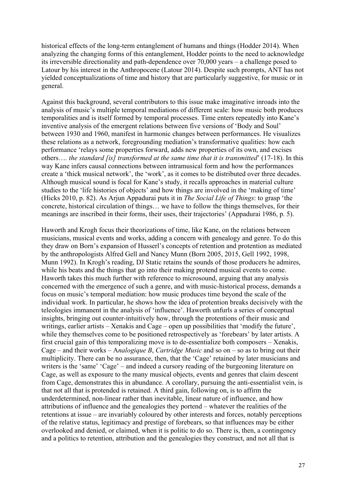historical effects of the long-term entanglement of humans and things (Hodder 2014). When analyzing the changing forms of this entanglement, Hodder points to the need to acknowledge its irreversible directionality and path-dependence over 70,000 years – a challenge posed to Latour by his interest in the Anthropocene (Latour 2014). Despite such prompts, ANT has not yielded conceptualizations of time and history that are particularly suggestive, for music or in general.

Against this background, several contributors to this issue make imaginative inroads into the analysis of music's multiple temporal mediations of different scale: how music both produces temporalities and is itself formed by temporal processes. Time enters repeatedly into Kane's inventive analysis of the emergent relations between five versions of 'Body and Soul' between 1930 and 1960, manifest in harmonic changes between performances. He visualizes these relations as a network, foregrounding mediation's transformative qualities: how each performance 'relays some properties forward, adds new properties of its own, and excises others…*. the standard [is] transformed at the same time that it is transmitted*' (17-18). In this way Kane infers causal connections between intramusical form and how the performances create a 'thick musical network', the 'work', as it comes to be distributed over three decades. Although musical sound is focal for Kane's study, it recalls approaches in material culture studies to the 'life histories of objects' and how things are involved in the 'making of time' (Hicks 2010, p. 82). As Arjun Appadurai puts it in *The Social Life of Things*: to grasp 'the concrete, historical circulation of things… we have to follow the things themselves, for their meanings are inscribed in their forms, their uses, their trajectories' (Appadurai 1986, p. 5).

Haworth and Krogh focus their theorizations of time, like Kane, on the relations between musicians, musical events and works, adding a concern with genealogy and genre. To do this they draw on Born's expansion of Husserl's concepts of retention and protention as mediated by the anthropologists Alfred Gell and Nancy Munn (Born 2005, 2015, Gell 1992, 1998, Munn 1992). In Krogh's reading, DJ Static retains the sounds of those producers he admires, while his beats and the things that go into their making protend musical events to come. Haworth takes this much further with reference to microsound, arguing that any analysis concerned with the emergence of such a genre, and with music-historical process, demands a focus on music's temporal mediation: how music produces time beyond the scale of the individual work. In particular, he shows how the idea of protention breaks decisively with the teleologies immanent in the analysis of 'influence'. Haworth unfurls a series of conceptual insights, bringing out counter-intuitively how, through the protentions of their music and writings, earlier artists – Xenakis and Cage – open up possibilities that 'modify the future', while they themselves come to be positioned retrospectively as 'forebears' by later artists. A first crucial gain of this temporalizing move is to de-essentialize both composers – Xenakis, Cage – and their works – A*nalogique B*, *Cartridge Music* and so on – so as to bring out their multiplicity. There can be no assurance, then, that the 'Cage' retained by later musicians and writers is the 'same' 'Cage' – and indeed a cursory reading of the burgeoning literature on Cage, as well as exposure to the many musical objects, events and genres that claim descent from Cage, demonstrates this in abundance. A corollary, pursuing the anti-essentialist vein, is that not all that is protended is retained. A third gain, following on, is to affirm the underdetermined, non-linear rather than inevitable, linear nature of influence, and how attributions of influence and the genealogies they portend – whatever the realities of the retentions at issue – are invariably coloured by other interests and forces, notably perceptions of the relative status, legitimacy and prestige of forebears, so that influences may be either overlooked and denied, or claimed, when it is politic to do so. There is, then, a contingency and a politics to retention, attribution and the genealogies they construct, and not all that is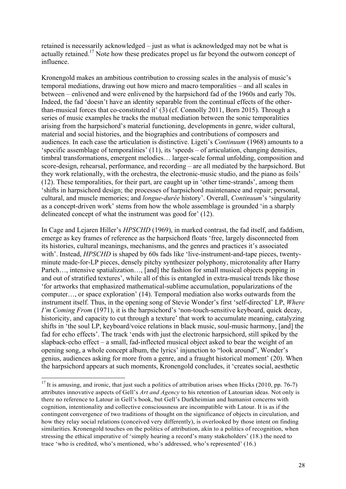retained is necessarily acknowledged – just as what is acknowledged may not be what is actually retained.<sup>17</sup> Note how these predicates propel us far beyond the outworn concept of influence.

Kronengold makes an ambitious contribution to crossing scales in the analysis of music's temporal mediations, drawing out how micro and macro temporalities – and all scales in between – enlivened and were enlivened by the harpsichord fad of the 1960s and early 70s. Indeed, the fad 'doesn't have an identity separable from the continual effects of the otherthan-musical forces that co-constituted it' (3) (cf. Connolly 2011, Born 2015). Through a series of music examples he tracks the mutual mediation between the sonic temporalities arising from the harpsichord's material functioning, developments in genre, wider cultural, material and social histories, and the biographies and contributions of composers and audiences. In each case the articulation is distinctive. Ligeti's *Continuum* (1968) amounts to a 'specific assemblage of temporalities' (11), its 'speeds – of articulation, changing densities, timbral transformations, emergent melodies… larger-scale formal unfolding, composition and score-design, rehearsal, performance, and recording – are all mediated by the harpsichord. But they work relationally, with the orchestra, the electronic-music studio, and the piano as foils' (12). These temporalities, for their part, are caught up in 'other time-strands', among them 'shifts in harpsichord design; the processes of harpsichord maintenance and repair; personal, cultural, and muscle memories; and *longue-durée* history'. Overall, *Continuum*'s 'singularity as a concept-driven work' stems from how the whole assemblage is grounded 'in a sharply delineated concept of what the instrument was good for' (12).

In Cage and Lejaren Hiller's *HPSCHD* (1969), in marked contrast, the fad itself, and faddism, emerge as key frames of reference as the harpsichord floats 'free, largely disconnected from its histories, cultural meanings, mechanisms, and the genres and practices it's associated with'. Instead, *HPSCHD* is shaped by 60s fads like 'live-instrument-and-tape pieces, twentyminute made-for-LP pieces, densely pitchy synthesizer polyphony, microtonality after Harry Partch…, intensive spatialization…, [and] the fashion for small musical objects popping in and out of stratified textures', while all of this is entangled in extra-musical trends like those 'for artworks that emphasized mathematical-sublime accumulation, popularizations of the computer…, or space exploration' (14). Temporal mediation also works outwards from the instrument itself. Thus, in the opening song of Stevie Wonder's first 'self-directed' LP, *Where I'm Coming From* (1971), it is the harpsichord's 'non-touch-sensitive keyboard, quick decay, historicity, and capacity to cut through a texture' that work to accumulate meaning, catalyzing shifts in 'the soul LP, keyboard/voice relations in black music, soul-music harmony, [and] the fad for echo effects'. The track 'ends with just the electronic harpsichord, still spiked by the slapback-echo effect – a small, fad-inflected musical object asked to bear the weight of an opening song, a whole concept album, the lyrics' injunction to "look around", Wonder's genius, audiences asking for more from a genre, and a fraught historical moment' (20). When the harpsichord appears at such moments, Kronengold concludes, it 'creates social, aesthetic

<sup>&</sup>lt;sup>17</sup> It is amusing, and ironic, that just such a politics of attribution arises when Hicks (2010, pp. 76-7) attributes innovative aspects of Gell's *Art and Agency* to his retention of Latourian ideas. Not only is there no reference to Latour in Gell's book, but Gell's Durkheimian and humanist concerns with cognition, intentionality and collective consciousness are incompatible with Latour. It is as if the contingent convergence of two traditions of thought on the significance of objects in circulation, and how they relay social relations (conceived very differently), is overlooked by those intent on finding similarities. Kronengold touches on the politics of attribution, akin to a politics of recognition, when stressing the ethical imperative of 'simply hearing a record's many stakeholders' (18.) the need to trace 'who is credited, who's mentioned, who's addressed, who's represented' (16.)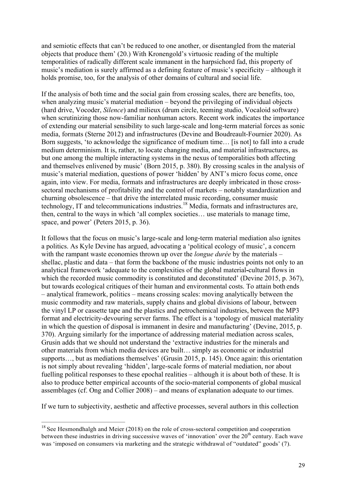and semiotic effects that can't be reduced to one another, or disentangled from the material objects that produce them' (20.) With Kronengold's virtuosic reading of the multiple temporalities of radically different scale immanent in the harpsichord fad, this property of music's mediation is surely affirmed as a defining feature of music's specificity – although it holds promise, too, for the analysis of other domains of cultural and social life.

If the analysis of both time and the social gain from crossing scales, there are benefits, too, when analyzing music's material mediation – beyond the privileging of individual objects (hard drive, Vocoder, *Silence*) and milieux (drum circle, teeming studio, Vocaloid software) when scrutinizing those now-familiar nonhuman actors. Recent work indicates the importance of extending our material sensibility to such large-scale and long-term material forces as sonic media, formats (Sterne 2012) and infrastructures (Devine and Boudreault-Fournier 2020). As Born suggests, 'to acknowledge the significance of medium time… [is not] to fall into a crude medium determinism. It is, rather, to locate changing media, and material infrastructures, as but one among the multiple interacting systems in the nexus of temporalities both affecting and themselves enlivened by music' (Born 2015, p. 380). By crossing scales in the analysis of music's material mediation, questions of power 'hidden' by ANT's micro focus come, once again, into view. For media, formats and infrastructures are deeply imbricated in those crosssectoral mechanisms of profitability and the control of markets – notably standardization and churning obsolescence – that drive the interrelated music recording, consumer music technology, IT and telecommunications industries.<sup>18</sup> Media, formats and infrastructures are, then, central to the ways in which 'all complex societies… use materials to manage time, space, and power' (Peters 2015, p. 36).

It follows that the focus on music's large-scale and long-term material mediation also ignites a politics. As Kyle Devine has argued, advocating a 'political ecology of music', a concern with the rampant waste economies thrown up over the *longue durée* by the materials – shellac, plastic and data – that form the backbone of the music industries points not only to an analytical framework 'adequate to the complexities of the global material**-**cultural flows in which the recorded music commodity is constituted and deconstituted' (Devine 2015, p. 367), but towards ecological critiques of their human and environmental costs. To attain both ends – analytical framework, politics – means crossing scales: moving analytically between the music commodity and raw materials, supply chains and global divisions of labour, between the vinyl LP or cassette tape and the plastics and petrochemical industries, between the MP3 format and electricity-devouring server farms. The effect is a 'topology of musical materiality in which the question of disposal is immanent in desire and manufacturing' (Devine, 2015, p. 370). Arguing similarly for the importance of addressing material mediation across scales, Grusin adds that we should not understand the 'extractive industries for the minerals and other materials from which media devices are built… simply as economic or industrial supports…, but as mediations themselves' (Grusin 2015, p. 145). Once again: this orientation is not simply about revealing 'hidden', large-scale forms of material mediation, nor about fuelling political responses to these epochal realities – although it is about both of these. It is also to produce better empirical accounts of the socio-material components of global musical assemblages (cf. Ong and Collier 2008) – and means of explanation adequate to our times.

If we turn to subjectivity, aesthetic and affective processes, several authors in this collection

<sup>&</sup>lt;sup>18</sup> See Hesmondhalgh and Meier (2018) on the role of cross-sectoral competition and cooperation between these industries in driving successive waves of 'innovation' over the 20<sup>th</sup> century. Each wave was 'imposed on consumers via marketing and the strategic withdrawal of "outdated" goods' (7).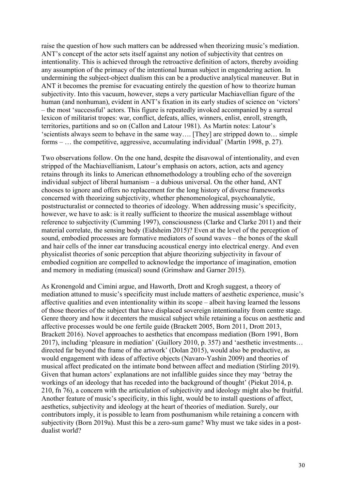raise the question of how such matters can be addressed when theorizing music's mediation. ANT's concept of the actor sets itself against any notion of subjectivity that centres on intentionality. This is achieved through the retroactive definition of actors, thereby avoiding any assumption of the primacy of the intentional human subject in engendering action. In undermining the subject-object dualism this can be a productive analytical maneuver. But in ANT it becomes the premise for evacuating entirely the question of how to theorize human subjectivity. Into this vacuum, however, steps a very particular Machiavellian figure of the human (and nonhuman), evident in ANT's fixation in its early studies of science on 'victors' – the most 'successful' actors. This figure is repeatedly invoked accompanied by a surreal lexicon of militarist tropes: war, conflict, defeats, allies, winners, enlist, enroll, strength, territories, partitions and so on (Callon and Latour 1981). As Martin notes: Latour's 'scientists always seem to behave in the same way…. [They] are stripped down to… simple forms – … the competitive, aggressive, accumulating individual' (Martin 1998, p. 27).

Two observations follow. On the one hand, despite the disavowal of intentionality, and even stripped of the Machiavellianism, Latour's emphasis on actors, action, acts and agency retains through its links to American ethnomethodology a troubling echo of the sovereign individual subject of liberal humanism – a dubious universal. On the other hand, ANT chooses to ignore and offers no replacement for the long history of diverse frameworks concerned with theorizing subjectivity, whether phenomenological, psychoanalytic, poststructuralist or connected to theories of ideology. When addressing music's specificity, however, we have to ask: is it really sufficient to theorize the musical assemblage without reference to subjectivity (Cumming 1997), consciousness (Clarke and Clarke 2011) and their material correlate, the sensing body (Eidsheim 2015)? Even at the level of the perception of sound, embodied processes are formative mediators of sound waves – the bones of the skull and hair cells of the inner ear transducing acoustical energy into electrical energy. And even physicalist theories of sonic perception that abjure theorizing subjectivity in favour of embodied cognition are compelled to acknowledge the importance of imagination, emotion and memory in mediating (musical) sound (Grimshaw and Garner 2015).

As Kronengold and Cimini argue, and Haworth, Drott and Krogh suggest, a theory of mediation attuned to music's specificity must include matters of aesthetic experience, music's affective qualities and even intentionality within its scope – albeit having learned the lessons of those theories of the subject that have displaced sovereign intentionality from centre stage. Genre theory and how it decenters the musical subject while retaining a focus on aesthetic and affective processes would be one fertile guide (Brackett 2005, Born 2011, Drott 2013, Brackett 2016). Novel approaches to aesthetics that encompass mediation (Born 1991, Born 2017), including 'pleasure in mediation' (Guillory 2010, p. 357) and 'aesthetic investments… directed far beyond the frame of the artwork' (Dolan 2015), would also be productive, as would engagement with ideas of affective objects (Navaro-Yashin 2009) and theories of musical affect predicated on the intimate bond between affect and mediation (Stirling 2019). Given that human actors' explanations are not infallible guides since they may 'betray the workings of an ideology that has receded into the background of thought' (Piekut 2014, p. 210, fn 76), a concern with the articulation of subjectivity and ideology might also be fruitful. Another feature of music's specificity, in this light, would be to install questions of affect, aesthetics, subjectivity and ideology at the heart of theories of mediation. Surely, our contributors imply, it is possible to learn from posthumanism while retaining a concern with subjectivity (Born 2019a). Must this be a zero-sum game? Why must we take sides in a postdualist world?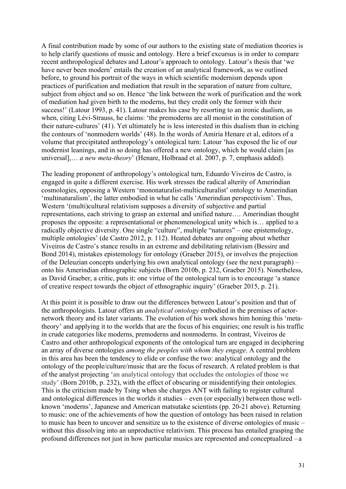A final contribution made by some of our authors to the existing state of mediation theories is to help clarify questions of music and ontology. Here a brief excursus is in order to compare recent anthropological debates and Latour's approach to ontology. Latour's thesis that 'we have never been modern' entails the creation of an analytical framework, as we outlined before, to ground his portrait of the ways in which scientific modernism depends upon practices of purification and mediation that result in the separation of nature from culture, subject from object and so on. Hence 'the link between the work of purification and the work of mediation had given birth to the moderns, but they credit only the former with their success!' (Latour 1993, p. 41). Latour makes his case by resorting to an ironic dualism, as when, citing Lévi-Strauss, he claims: 'the premoderns are all monist in the constitution of their nature-cultures' (41). Yet ultimately he is less interested in this dualism than in etching the contours of 'nonmodern worlds' (48). In the words of Amiria Henare et al, editors of a volume that precipitated anthropology's ontological turn: Latour 'has exposed the lie of our modernist leanings, and in so doing has offered a new ontology, which he would claim [as universal],… *a new meta-theory*' (Henare, Holbraad et al. 2007, p. 7, emphasis added).

The leading proponent of anthropology's ontological turn, Eduardo Viveiros de Castro, is engaged in quite a different exercise. His work stresses the radical alterity of Amerindian cosmologies, opposing a Western 'mononaturalist-multiculturalist' ontology to Amerindian 'multinaturalism', the latter embodied in what he calls 'Amerindian perspectivism'. Thus, Western '(multi)cultural relativism supposes a diversity of subjective and partial representations, each striving to grasp an external and unified nature…. Amerindian thought proposes the opposite: a representational or phenomenological unity which is… applied to a radically objective diversity. One single "culture", multiple "natures" – one epistemology, multiple ontologies' (de Castro 2012, p. 112). Heated debates are ongoing about whether Viveiros de Castro's stance results in an extreme and debilitating relativism (Bessire and Bond 2014), mistakes epistemology for ontology (Graeber 2015), or involves the projection of the Deleuzian concepts underlying his own analytical ontology (see the next paragraph) – onto his Amerindian ethnographic subjects (Born 2010b, p. 232, Graeber 2015). Nonetheless, as David Graeber, a critic, puts it: one virtue of the ontological turn is to encourage 'a stance of creative respect towards the object of ethnographic inquiry' (Graeber 2015, p. 21).

At this point it is possible to draw out the differences between Latour's position and that of the anthropologists. Latour offers an *analytical ontology* embodied in the premises of actornetwork theory and its later variants. The evolution of his work shows him honing this 'metatheory' and applying it to the worlds that are the focus of his enquiries; one result is his traffic in crude categories like moderns, premoderns and nonmoderns. In contrast, Viveiros de Castro and other anthropological exponents of the ontological turn are engaged in deciphering an array of diverse ontologies *among the peoples with whom they engage*. A central problem in this area has been the tendency to elide or confuse the two: analytical ontology and the ontology of the people/culture/music that are the focus of research. A related problem is that of the analyst projecting 'an analytical ontology that occludes the ontologies of those we study' (Born 2010b, p. 232), with the effect of obscuring or misidentifying their ontologies. This is the criticism made by Tsing when she charges ANT with failing to register cultural and ontological differences in the worlds it studies – even (or especially) between those wellknown 'moderns', Japanese and American matsutake scientists (pp. 20-21 above). Returning to music: one of the achievements of how the question of ontology has been raised in relation to music has been to uncover and sensitize us to the existence of diverse ontologies of music – without this dissolving into an unproductive relativism. This process has entailed grasping the profound differences not just in how particular musics are represented and conceptualized – a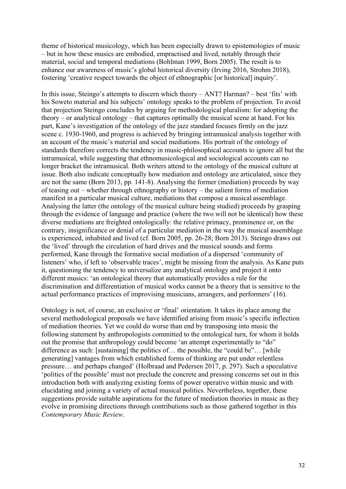theme of historical musicology, which has been especially drawn to epistemologies of music – but in how these musics are embodied, empractised and lived, notably through their material, social and temporal mediations (Bohlman 1999, Born 2005). The result is to enhance our awareness of music's global historical diversity (Irving 2016, Strohm 2018), fostering 'creative respect towards the object of ethnographic [or historical] inquiry'.

In this issue, Steingo's attempts to discern which theory – ANT? Harman? – best 'fits' with his Soweto material and his subjects' ontology speaks to the problem of projection. To avoid that projection Steingo concludes by arguing for methodological pluralism: for adopting the theory – or analytical ontology – that captures optimally the musical scene at hand. For his part, Kane's investigation of the ontology of the jazz standard focuses firmly on the jazz scene c. 1930-1960, and progress is achieved by bringing intramusical analysis together with an account of the music's material and social mediations. His portrait of the ontology of standards therefore corrects the tendency in music-philosophical accounts to ignore all but the intramusical, while suggesting that ethnomusicological and sociological accounts can no longer bracket the intramusical. Both writers attend to the ontology of the musical culture at issue. Both also indicate conceptually how mediation and ontology are articulated, since they are not the same (Born 2013, pp. 141-8). Analysing the former (mediation) proceeds by way of teasing out – whether through ethnography or history – the salient forms of mediation manifest in a particular musical culture, mediations that compose a musical assemblage. Analysing the latter (the ontology of the musical culture being studied) proceeds by grasping through the evidence of language and practice (where the two will not be identical) how these diverse mediations are freighted ontologically: the relative primacy, prominence or, on the contrary, insignificance or denial of a particular mediation in the way the musical assemblage is experienced, inhabited and lived (cf. Born 2005, pp. 26-28; Born 2013). Steingo draws out the 'lived' through the circulation of hard drives and the musical sounds and forms performed, Kane through the formative social mediation of a dispersed 'community of listeners' who, if left to 'observable traces', might be missing from the analysis. As Kane puts it, questioning the tendency to universalize any analytical ontology and project it onto different musics: 'an ontological theory that automatically provides a rule for the discrimination and differentiation of musical works cannot be a theory that is sensitive to the actual performance practices of improvising musicians, arrangers, and performers' (16).

Ontology is not, of course, an exclusive or 'final' orientation. It takes its place among the several methodological proposals we have identified arising from music's specific inflection of mediation theories. Yet we could do worse than end by transposing into music the following statement by anthropologists committed to the ontological turn, for whom it holds out the promise that anthropology could become 'an attempt experimentally to "do" difference as such: [sustaining] the politics of… the possible, the "could be"… [while generating] vantages from which established forms of thinking are put under relentless pressure… and perhaps changed' (Holbraad and Pedersen 2017, p. 297). Such a speculative 'politics of the possible' must not preclude the concrete and pressing concerns set out in this introduction both with analyzing existing forms of power operative within music and with elucidating and joining a variety of actual musical politics. Nevertheless, together, these suggestions provide suitable aspirations for the future of mediation theories in music as they evolve in promising directions through contributions such as those gathered together in this *Contemporary Music Review*.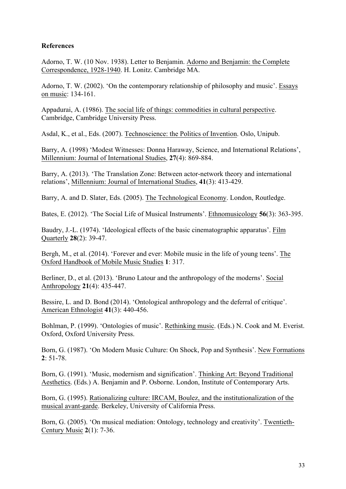## **References**

Adorno, T. W. (10 Nov. 1938). Letter to Benjamin. Adorno and Benjamin: the Complete Correspondence, 1928-1940. H. Lonitz. Cambridge MA.

Adorno, T. W. (2002). 'On the contemporary relationship of philosophy and music'. Essays on music: 134-161.

Appadurai, A. (1986). The social life of things: commodities in cultural perspective. Cambridge, Cambridge University Press.

Asdal, K., et al., Eds. (2007). Technoscience: the Politics of Invention. Oslo, Unipub.

Barry, A. (1998) 'Modest Witnesses: Donna Haraway, Science, and International Relations', Millennium: Journal of International Studies, **27**(4): 869-884.

Barry, A. (2013). 'The Translation Zone: Between actor-network theory and international relations', Millennium: Journal of International Studies, **41**(3): 413-429.

Barry, A. and D. Slater, Eds. (2005). The Technological Economy. London, Routledge.

Bates, E. (2012). 'The Social Life of Musical Instruments'. Ethnomusicology **56**(3): 363-395.

Baudry, J.-L. (1974). 'Ideological effects of the basic cinematographic apparatus'. Film Quarterly **28**(2): 39-47.

Bergh, M., et al. (2014). 'Forever and ever: Mobile music in the life of young teens'. The Oxford Handbook of Mobile Music Studies **1**: 317.

Berliner, D., et al. (2013). 'Bruno Latour and the anthropology of the moderns'. Social Anthropology **21**(4): 435-447.

Bessire, L. and D. Bond (2014). 'Ontological anthropology and the deferral of critique'. American Ethnologist **41**(3): 440-456.

Bohlman, P. (1999). 'Ontologies of music'. Rethinking music. (Eds.) N. Cook and M. Everist. Oxford, Oxford University Press.

Born, G. (1987). 'On Modern Music Culture: On Shock, Pop and Synthesis'. New Formations **2**: 51-78.

Born, G. (1991). 'Music, modernism and signification'. Thinking Art: Beyond Traditional Aesthetics. (Eds.) A. Benjamin and P. Osborne. London, Institute of Contemporary Arts.

Born, G. (1995). Rationalizing culture: IRCAM, Boulez, and the institutionalization of the musical avant-garde. Berkeley, University of California Press.

Born, G. (2005). 'On musical mediation: Ontology, technology and creativity'. Twentieth-Century Music **2**(1): 7-36.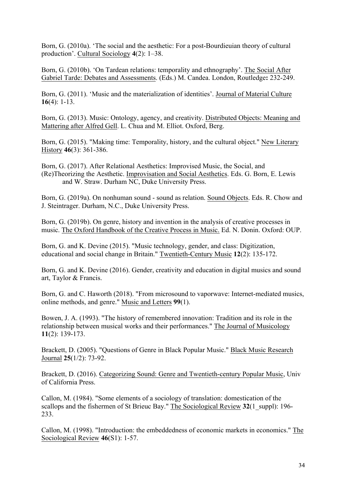Born, G. (2010a). 'The social and the aesthetic: For a post-Bourdieuian theory of cultural production'. Cultural Sociology **4**(2): 1–38.

Born, G. (2010b). 'On Tardean relations: temporality and ethnography'. The Social After Gabriel Tarde: Debates and Assessments. (Eds.) M. Candea. London, Routledge**:** 232-249.

Born, G. (2011). 'Music and the materialization of identities'. Journal of Material Culture **16**(4): 1-13.

Born, G. (2013). Music: Ontology, agency, and creativity. Distributed Objects: Meaning and Mattering after Alfred Gell. L. Chua and M. Elliot. Oxford, Berg.

Born, G. (2015). "Making time: Temporality, history, and the cultural object." New Literary History **46**(3): 361-386.

Born, G. (2017). After Relational Aesthetics: Improvised Music, the Social, and (Re)Theorizing the Aesthetic. Improvisation and Social Aesthetics. Eds. G. Born, E. Lewis and W. Straw. Durham NC, Duke University Press.

Born, G. (2019a). On nonhuman sound - sound as relation. Sound Objects. Eds. R. Chow and J. Steintrager. Durham, N.C., Duke University Press.

Born, G. (2019b). On genre, history and invention in the analysis of creative processes in music. The Oxford Handbook of the Creative Process in Music. Ed. N. Donin. Oxford: OUP.

Born, G. and K. Devine (2015). "Music technology, gender, and class: Digitization, educational and social change in Britain." Twentieth-Century Music **12**(2): 135-172.

Born, G. and K. Devine (2016). Gender, creativity and education in digital musics and sound art, Taylor & Francis.

Born, G. and C. Haworth (2018). "From microsound to vaporwave: Internet-mediated musics, online methods, and genre." Music and Letters **99**(1).

Bowen, J. A. (1993). "The history of remembered innovation: Tradition and its role in the relationship between musical works and their performances." The Journal of Musicology **11**(2): 139-173.

Brackett, D. (2005). "Questions of Genre in Black Popular Music." Black Music Research Journal **25**(1/2): 73-92.

Brackett, D. (2016). Categorizing Sound: Genre and Twentieth-century Popular Music, Univ of California Press.

Callon, M. (1984). "Some elements of a sociology of translation: domestication of the scallops and the fishermen of St Brieuc Bay." The Sociological Review **32**(1\_suppl): 196- 233.

Callon, M. (1998). "Introduction: the embeddedness of economic markets in economics." The Sociological Review **46**(S1): 1-57.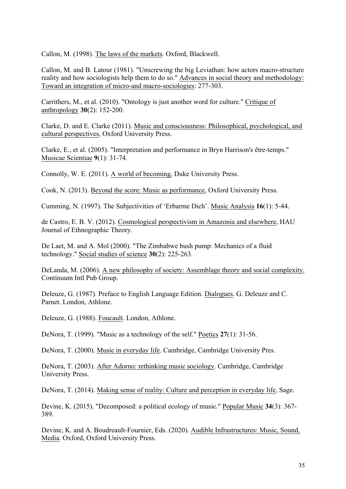Callon, M. (1998). The laws of the markets. Oxford, Blackwell.

Callon, M. and B. Latour (1981). "Unscrewing the big Leviathan: how actors macro-structure reality and how sociologists help them to do so." Advances in social theory and methodology: Toward an integration of micro-and macro-sociologies: 277-303.

Carrithers, M., et al. (2010). "Ontology is just another word for culture." Critique of anthropology **30**(2): 152-200.

Clarke, D. and E. Clarke (2011). Music and consciousness: Philosophical, psychological, and cultural perspectives, Oxford University Press.

Clarke, E., et al. (2005). "Interpretation and performance in Bryn Harrison's être-temps." Musicae Scientiae **9**(1): 31-74.

Connolly, W. E. (2011). A world of becoming, Duke University Press.

Cook, N. (2013). Beyond the score: Music as performance, Oxford University Press.

Cumming, N. (1997). The Subjectivities of 'Erbarme Dich'. Music Analysis **16**(1): 5-44.

de Castro, E. B. V. (2012). Cosmological perspectivism in Amazonia and elsewhere, HAU Journal of Ethnographic Theory.

De Laet, M. and A. Mol (2000). "The Zimbabwe bush pump: Mechanics of a fluid technology." Social studies of science **30**(2): 225-263.

DeLanda, M. (2006). A new philosophy of society: Assemblage theory and social complexity, Continuum Intl Pub Group.

Deleuze, G. (1987). Preface to English Language Edition. Dialogues. G. Deleuze and C. Parnet. London, Athlone.

Deleuze, G. (1988). Foucault. London, Athlone.

DeNora, T. (1999). "Music as a technology of the self." Poetics **27**(1): 31-56.

DeNora, T. (2000). Music in everyday life. Cambridge, Cambridge University Pres.

DeNora, T. (2003). After Adorno: rethinking music sociology. Cambridge, Cambridge University Press.

DeNora, T. (2014). Making sense of reality: Culture and perception in everyday life, Sage.

Devine, K. (2015). "Decomposed: a political ecology of music." Popular Music **34**(3): 367- 389.

Devine, K. and A. Boudreault-Fournier, Eds. (2020). Audible Infrastructures: Music, Sound, Media. Oxford, Oxford University Press.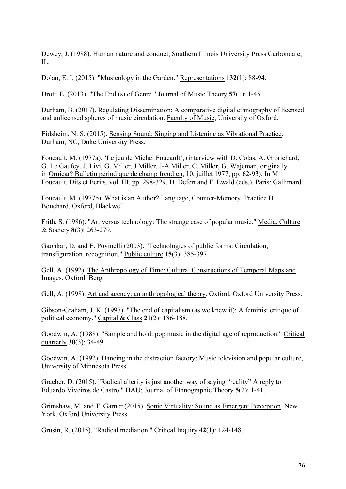Dewey, J. (1988). Human nature and conduct, Southern Illinois University Press Carbondale, IL.

Dolan, E. I. (2015). "Musicology in the Garden." Representations **132**(1): 88-94.

Drott, E. (2013). "The End (s) of Genre." Journal of Music Theory **57**(1): 1-45.

Durham, B. (2017). Regulating Dissemination: A comparative digital ethnography of licensed and unlicensed spheres of music circulation. Faculty of Music, University of Oxford.

Eidsheim, N. S. (2015). Sensing Sound: Singing and Listening as Vibrational Practice. Durham, NC, Duke University Press.

Foucault, M. (1977a). 'Le jeu de Michel Foucault', (interview with D. Colas, A. Grorichard, G. Le Gaufey, J. Livi, G. Miller, J Miller, J-A Miller, C. Millor, G. Wajeman, originally in Ornicar? Bulletin périodique de champ freudien, 10, juillet 1977, pp. 62-93). In M. Foucault, Dits et Ecrits, vol. III, pp. 298-329. D. Defert and F. Ewald (eds.). Paris: Gallimard.

Foucault, M. (1977b). What is an Author? Language, Counter-Memory, Practice D. Bouchard. Oxford, Blackwell.

Frith, S. (1986). "Art versus technology: The strange case of popular music." Media, Culture & Society **8**(3): 263-279.

Gaonkar, D. and E. Povinelli (2003). "Technologies of public forms: Circulation, transfiguration, recognition." Public culture **15**(3): 385-397.

Gell, A. (1992). The Anthropology of Time: Cultural Constructions of Temporal Maps and Images. Oxford, Berg.

Gell, A. (1998). Art and agency: an anthropological theory. Oxford, Oxford University Press.

Gibson-Graham, J. K. (1997). "The end of capitalism (as we knew it): A feminist critique of political economy." Capital & Class **21**(2): 186-188.

Goodwin, A. (1988). "Sample and hold: pop music in the digital age of reproduction." Critical quarterly **30**(3): 34-49.

Goodwin, A. (1992). Dancing in the distraction factory: Music television and popular culture, University of Minnesota Press.

Graeber, D. (2015). "Radical alterity is just another way of saying "reality" A reply to Eduardo Viveiros de Castro." HAU: Journal of Ethnographic Theory **5**(2): 1-41.

Grimshaw, M. and T. Garner (2015). Sonic Virtuality: Sound as Emergent Perception. New York, Oxford University Press.

Grusin, R. (2015). "Radical mediation." Critical Inquiry **42**(1): 124-148.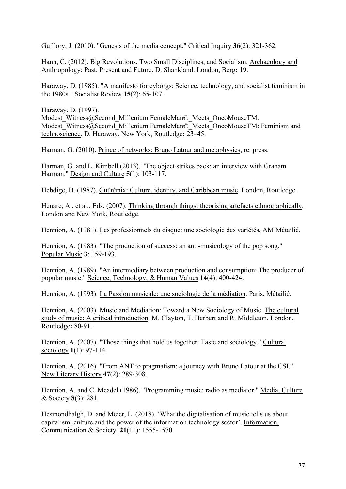Guillory, J. (2010). "Genesis of the media concept." Critical Inquiry **36**(2): 321-362.

Hann, C. (2012). Big Revolutions, Two Small Disciplines, and Socialism. Archaeology and Anthropology: Past, Present and Future. D. Shankland. London, Berg**:** 19.

Haraway, D. (1985). "A manifesto for cyborgs: Science, technology, and socialist feminism in the 1980s." Socialist Review **15**(2): 65-107.

Haraway, D. (1997). Modest\_Witness@Second\_Millenium.FemaleMan©\_Meets\_OncoMouseTM. Modest\_Witness@Second\_Millenium.FemaleMan©\_Meets\_OncoMouseTM: Feminism and technoscience. D. Haraway. New York, Routledge**:** 23–45.

Harman, G. (2010). Prince of networks: Bruno Latour and metaphysics, re. press.

Harman, G. and L. Kimbell (2013). "The object strikes back: an interview with Graham Harman." Design and Culture **5**(1): 103-117.

Hebdige, D. (1987). Cut'n'mix: Culture, identity, and Caribbean music. London, Routledge.

Henare, A., et al., Eds. (2007). Thinking through things: theorising artefacts ethnographically. London and New York, Routledge.

Hennion, A. (1981). Les professionnels du disque: une sociologie des variétés, AM Métailié.

Hennion, A. (1983). "The production of success: an anti-musicology of the pop song." Popular Music **3**: 159-193.

Hennion, A. (1989). "An intermediary between production and consumption: The producer of popular music." Science, Technology, & Human Values **14**(4): 400-424.

Hennion, A. (1993). La Passion musicale: une sociologie de la médiation. Paris, Métailié.

Hennion, A. (2003). Music and Mediation: Toward a New Sociology of Music. The cultural study of music: A critical introduction. M. Clayton, T. Herbert and R. Middleton. London, Routledge**:** 80-91.

Hennion, A. (2007). "Those things that hold us together: Taste and sociology." Cultural sociology **1**(1): 97-114.

Hennion, A. (2016). "From ANT to pragmatism: a journey with Bruno Latour at the CSI." New Literary History **47**(2): 289-308.

Hennion, A. and C. Meadel (1986). "Programming music: radio as mediator." Media, Culture & Society **8**(3): 281.

Hesmondhalgh, D. and Meier, L. (2018). 'What the digitalisation of music tells us about capitalism, culture and the power of the information technology sector'. Information, Communication & Society. **21**(11): 1555-1570.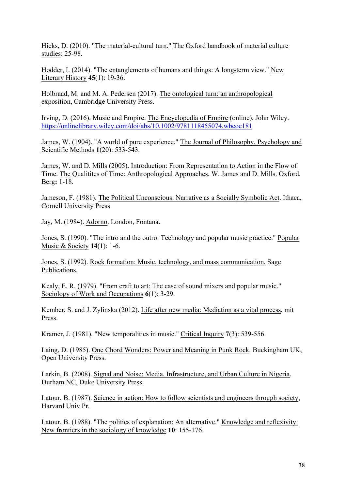Hicks, D. (2010). "The material-cultural turn." The Oxford handbook of material culture studies: 25-98.

Hodder, I. (2014). "The entanglements of humans and things: A long-term view." New Literary History **45**(1): 19-36.

Holbraad, M. and M. A. Pedersen (2017). The ontological turn: an anthropological exposition, Cambridge University Press.

Irving, D. (2016). Music and Empire. The Encyclopedia of Empire (online). John Wiley. https://onlinelibrary.wiley.com/doi/abs/10.1002/9781118455074.wbeoe181

James, W. (1904). "A world of pure experience." The Journal of Philosophy, Psychology and Scientific Methods **1**(20): 533-543.

James, W. and D. Mills (2005). Introduction: From Representation to Action in the Flow of Time. The Qualitites of Time: Anthropological Approaches. W. James and D. Mills. Oxford, Berg**:** 1-18.

Jameson, F. (1981). The Political Unconscious: Narrative as a Socially Symbolic Act. Ithaca, Cornell University Press

Jay, M. (1984). Adorno. London, Fontana.

Jones, S. (1990). "The intro and the outro: Technology and popular music practice." Popular Music & Society **14**(1): 1-6.

Jones, S. (1992). Rock formation: Music, technology, and mass communication, Sage Publications.

Kealy, E. R. (1979). "From craft to art: The case of sound mixers and popular music." Sociology of Work and Occupations **6**(1): 3-29.

Kember, S. and J. Zylinska (2012). Life after new media: Mediation as a vital process, mit Press.

Kramer, J. (1981). "New temporalities in music." Critical Inquiry **7**(3): 539-556.

Laing, D. (1985). One Chord Wonders: Power and Meaning in Punk Rock. Buckingham UK, Open University Press.

Larkin, B. (2008). Signal and Noise: Media, Infrastructure, and Urban Culture in Nigeria. Durham NC, Duke University Press.

Latour, B. (1987). Science in action: How to follow scientists and engineers through society, Harvard Univ Pr.

Latour, B. (1988). "The politics of explanation: An alternative." Knowledge and reflexivity: New frontiers in the sociology of knowledge **10**: 155-176.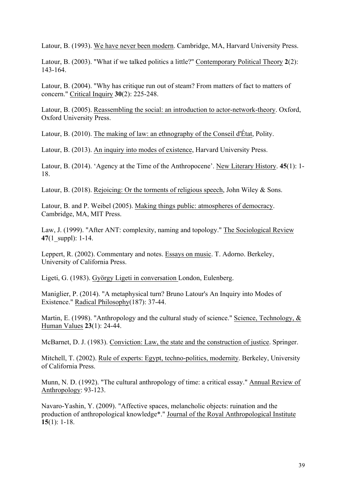Latour, B. (1993). We have never been modern. Cambridge, MA, Harvard University Press.

Latour, B. (2003). "What if we talked politics a little?" Contemporary Political Theory **2**(2): 143-164.

Latour, B. (2004). "Why has critique run out of steam? From matters of fact to matters of concern." Critical Inquiry **30**(2): 225-248.

Latour, B. (2005). Reassembling the social: an introduction to actor-network-theory. Oxford, Oxford University Press.

Latour, B. (2010). The making of law: an ethnography of the Conseil d'État, Polity.

Latour, B. (2013). An inquiry into modes of existence, Harvard University Press.

Latour, B. (2014). 'Agency at the Time of the Anthropocene'. New Literary History. **45**(1): 1- 18.

Latour, B. (2018). Rejoicing: Or the torments of religious speech, John Wiley & Sons.

Latour, B. and P. Weibel (2005). Making things public: atmospheres of democracy. Cambridge, MA, MIT Press.

Law, J. (1999). "After ANT: complexity, naming and topology." The Sociological Review **47**(1\_suppl): 1-14.

Leppert, R. (2002). Commentary and notes. Essays on music. T. Adorno. Berkeley, University of California Press.

Ligeti, G. (1983). György Ligeti in conversation London, Eulenberg.

Maniglier, P. (2014). "A metaphysical turn? Bruno Latour's An Inquiry into Modes of Existence." Radical Philosophy(187): 37-44.

Martin, E. (1998). "Anthropology and the cultural study of science." Science, Technology, & Human Values **23**(1): 24-44.

McBarnet, D. J. (1983). Conviction: Law, the state and the construction of justice. Springer.

Mitchell, T. (2002). Rule of experts: Egypt, techno-politics, modernity. Berkeley, University of California Press.

Munn, N. D. (1992). "The cultural anthropology of time: a critical essay." Annual Review of Anthropology: 93-123.

Navaro-Yashin, Y. (2009). "Affective spaces, melancholic objects: ruination and the production of anthropological knowledge\*." Journal of the Royal Anthropological Institute **15**(1): 1-18.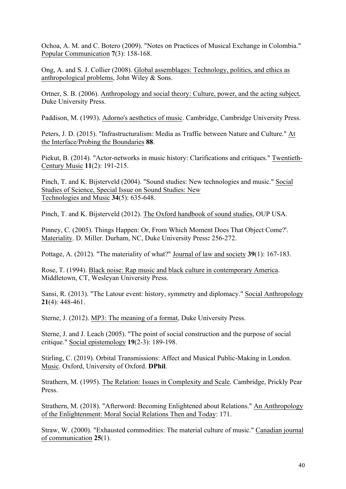Ochoa, A. M. and C. Botero (2009). "Notes on Practices of Musical Exchange in Colombia." Popular Communication **7**(3): 158-168.

Ong, A. and S. J. Collier (2008). Global assemblages: Technology, politics, and ethics as anthropological problems, John Wiley & Sons.

Ortner, S. B. (2006). Anthropology and social theory: Culture, power, and the acting subject, Duke University Press.

Paddison, M. (1993). Adorno's aesthetics of music. Cambridge, Cambridge University Press.

Peters, J. D. (2015). "Infrastructuralism: Media as Traffic between Nature and Culture." At the Interface/Probing the Boundaries **88**.

Piekut, B. (2014). "Actor-networks in music history: Clarifications and critiques." Twentieth-Century Music **11**(2): 191-215.

Pinch, T. and K. Bijsterveld (2004). "Sound studies: New technologies and music." Social Studies of Science, Special Issue on Sound Studies: New Technologies and Music **34**(5): 635-648.

Pinch, T. and K. Bijsterveld (2012). The Oxford handbook of sound studies, OUP USA.

Pinney, C. (2005). Things Happen: Or, From Which Moment Does That Object Come?'. Materiality. D. Miller. Durham, NC, Duke University Press**:** 256-272.

Pottage, A. (2012). "The materiality of what?" Journal of law and society **39**(1): 167-183.

Rose, T. (1994). Black noise: Rap music and black culture in contemporary America. Middletown, CT, Wesleyan University Press.

Sansi, R. (2013). "The Latour event: history, symmetry and diplomacy." Social Anthropology **21**(4): 448-461.

Sterne, J. (2012). MP3: The meaning of a format, Duke University Press.

Sterne, J. and J. Leach (2005). "The point of social construction and the purpose of social critique." Social epistemology **19**(2-3): 189-198.

Stirling, C. (2019). Orbital Transmissions: Affect and Musical Public-Making in London. Music. Oxford, University of Oxford. **DPhil**.

Strathern, M. (1995). The Relation: Issues in Complexity and Scale. Cambridge, Prickly Pear Press.

Strathern, M. (2018). "Afterword: Becoming Enlightened about Relations." An Anthropology of the Enlightenment: Moral Social Relations Then and Today: 171.

Straw, W. (2000). "Exhausted commodities: The material culture of music." Canadian journal of communication **25**(1).